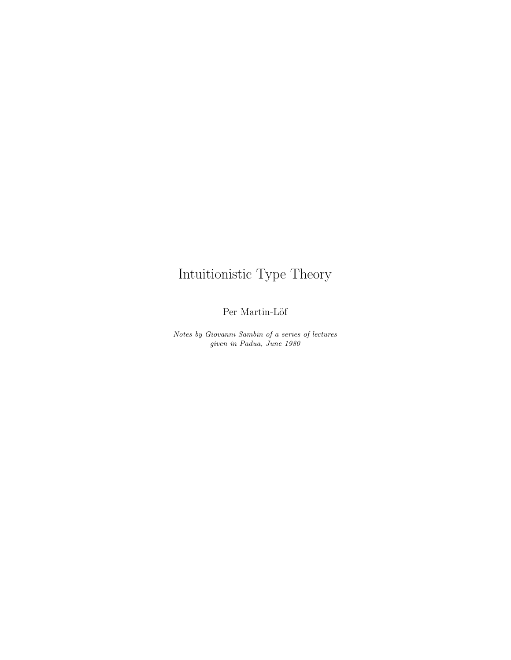# Intuitionistic Type Theory

Per Martin-Löf

Notes by Giovanni Sambin of a series of lectures given in Padua, June 1980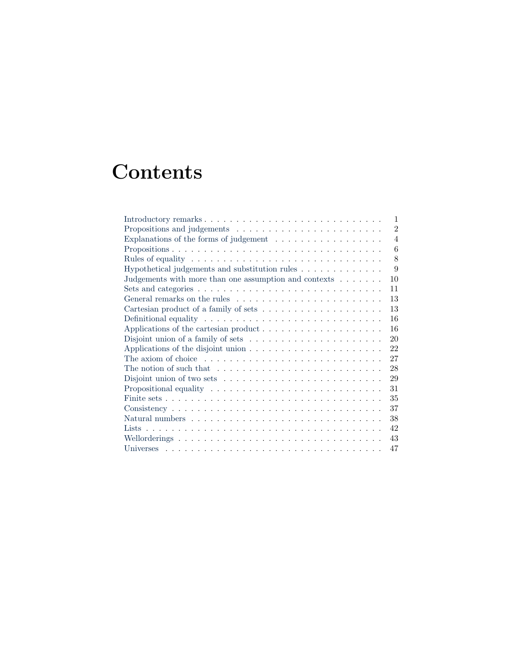# **Contents**

|                                                                                          | $\mathbf{1}$             |
|------------------------------------------------------------------------------------------|--------------------------|
| Propositions and judgements $\ldots \ldots \ldots \ldots \ldots \ldots \ldots$           | $\overline{2}$           |
| Explanations of the forms of judgement $\dots \dots \dots \dots \dots \dots$             | $\overline{\mathcal{A}}$ |
|                                                                                          | 6                        |
|                                                                                          | 8                        |
| Hypothetical judgements and substitution rules                                           | 9                        |
| Judgements with more than one assumption and contexts                                    | 10                       |
|                                                                                          | 11                       |
|                                                                                          | 13                       |
|                                                                                          | 13                       |
|                                                                                          | 16                       |
|                                                                                          | 16                       |
| Disjoint union of a family of sets $\dots \dots \dots \dots \dots \dots \dots$           | 20                       |
|                                                                                          | 22                       |
| The axiom of choice $\dots \dots \dots \dots \dots \dots \dots \dots \dots \dots \dots$  | 27                       |
| The notion of such that $\ldots \ldots \ldots \ldots \ldots \ldots \ldots \ldots \ldots$ | 28                       |
| Disjoint union of two sets $\dots \dots \dots \dots \dots \dots \dots \dots \dots \dots$ | 29                       |
|                                                                                          | 31                       |
|                                                                                          | 35                       |
|                                                                                          | 37                       |
|                                                                                          | 38                       |
|                                                                                          | 42                       |
|                                                                                          | 43                       |
|                                                                                          | 47                       |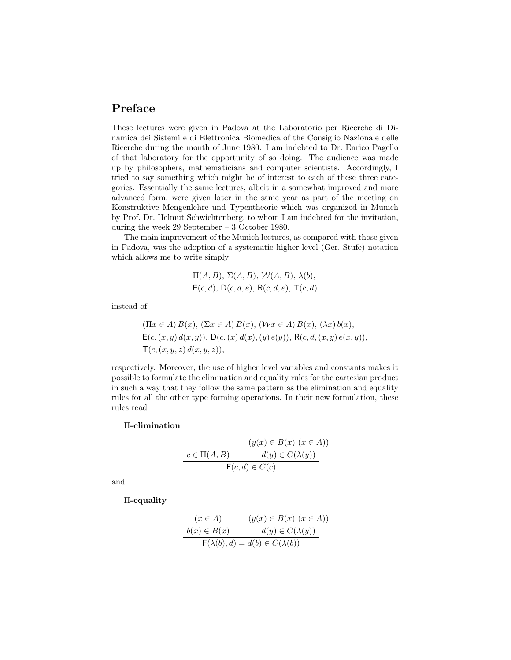# Preface

These lectures were given in Padova at the Laboratorio per Ricerche di Dinamica dei Sistemi e di Elettronica Biomedica of the Consiglio Nazionale delle Ricerche during the month of June 1980. I am indebted to Dr. Enrico Pagello of that laboratory for the opportunity of so doing. The audience was made up by philosophers, mathematicians and computer scientists. Accordingly, I tried to say something which might be of interest to each of these three categories. Essentially the same lectures, albeit in a somewhat improved and more advanced form, were given later in the same year as part of the meeting on Konstruktive Mengenlehre und Typentheorie which was organized in Munich by Prof. Dr. Helmut Schwichtenberg, to whom I am indebted for the invitation, during the week 29 September – 3 October 1980.

The main improvement of the Munich lectures, as compared with those given in Padova, was the adoption of a systematic higher level (Ger. Stufe) notation which allows me to write simply

$$
\Pi(A, B), \Sigma(A, B), \mathcal{W}(A, B), \lambda(b),
$$
  

$$
E(c, d), D(c, d, e), R(c, d, e), T(c, d)
$$

instead of

$$
(\Pi x \in A) B(x), (\Sigma x \in A) B(x), (\mathcal{W} x \in A) B(x), (\lambda x) b(x),
$$
  
\n
$$
E(c, (x, y) d(x, y)), D(c, (x) d(x), (y) e(y)), R(c, d, (x, y) e(x, y)),
$$
  
\n
$$
T(c, (x, y, z) d(x, y, z)),
$$

respectively. Moreover, the use of higher level variables and constants makes it possible to formulate the elimination and equality rules for the cartesian product in such a way that they follow the same pattern as the elimination and equality rules for all the other type forming operations. In their new formulation, these rules read

### Π-elimination

$$
(y(x) \in B(x) \ (x \in A))
$$

$$
c \in \Pi(A, B) \qquad d(y) \in C(\lambda(y))
$$

$$
\mathsf{F}(c, d) \in C(c)
$$

and

Π-equality

$$
(x \in A) \qquad (y(x) \in B(x) \ (x \in A))
$$

$$
\frac{b(x) \in B(x)}{b(x) \in B(x)} \qquad d(y) \in C(\lambda(y))
$$

$$
F(\lambda(b), d) = d(b) \in C(\lambda(b))
$$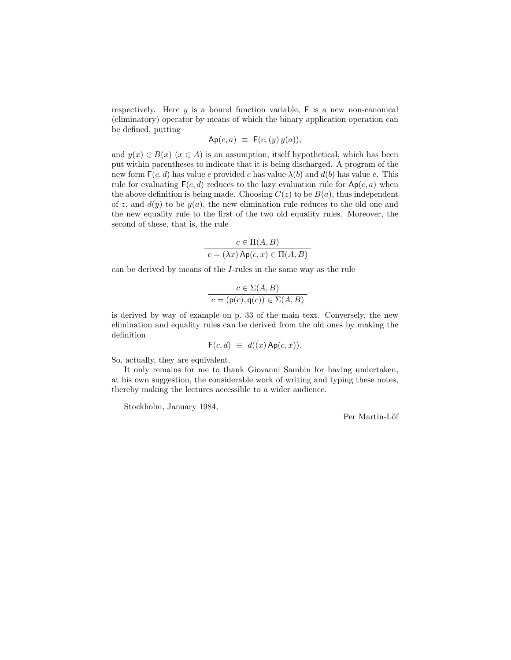respectively. Here  $y$  is a bound function variable,  $\sf F$  is a new non-canonical (eliminatory) operator by means of which the binary application operation can be defined, putting

$$
Ap(c, a) \equiv F(c, (y) y(a)),
$$

and  $y(x) \in B(x)$  ( $x \in A$ ) is an assumption, itself hypothetical, which has been put within parentheses to indicate that it is being discharged. A program of the new form  $F(c, d)$  has value e provided c has value  $\lambda(b)$  and  $d(b)$  has value e. This rule for evaluating  $F(c, d)$  reduces to the lazy evaluation rule for  $Ap(c, a)$  when the above definition is being made. Choosing  $C(z)$  to be  $B(a)$ , thus independent of z, and  $d(y)$  to be  $y(a)$ , the new elimination rule reduces to the old one and the new equality rule to the first of the two old equality rules. Moreover, the second of these, that is, the rule

$$
c \in \Pi(A, B)
$$

$$
c = (\lambda x) \operatorname{Ap}(c, x) \in \Pi(A, B)
$$

can be derived by means of the I-rules in the same way as the rule

$$
\frac{c \in \Sigma(A, B)}{c = (\mathsf{p}(c), \mathsf{q}(c)) \in \Sigma(A, B)}
$$

is derived by way of example on p. [33](#page-38-0) of the main text. Conversely, the new elimination and equality rules can be derived from the old ones by making the definition

$$
\mathsf{F}(c,d) \equiv d((x) \mathsf{Ap}(c,x)).
$$

So, actually, they are equivalent.

It only remains for me to thank Giovanni Sambin for having undertaken, at his own suggestion, the considerable work of writing and typing these notes, thereby making the lectures accessible to a wider audience.

Stockholm, January 1984,

Per Martin-Löf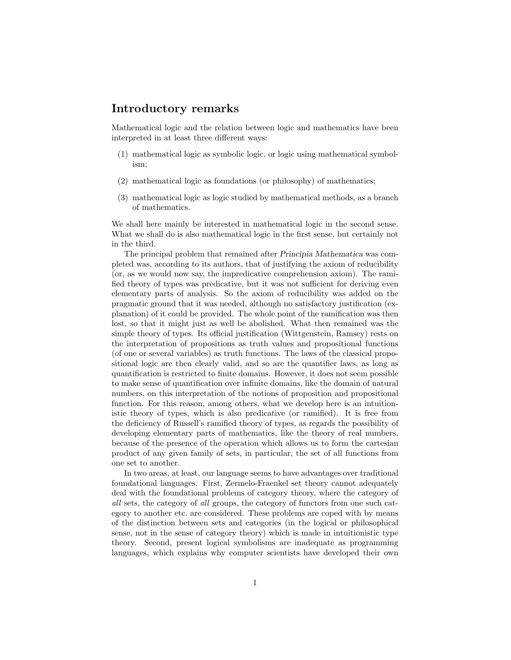### Introductory remarks

<span id="page-6-0"></span>Mathematical logic and the relation between logic and mathematics have been interpreted in at least three different ways:

- (1) mathematical logic as symbolic logic, or logic using mathematical symbolism;
- (2) mathematical logic as foundations (or philosophy) of mathematics;
- (3) mathematical logic as logic studied by mathematical methods, as a branch of mathematics.

We shall here mainly be interested in mathematical logic in the second sense. What we shall do is also mathematical logic in the first sense, but certainly not in the third.

The principal problem that remained after Principia Mathematica was completed was, according to its authors, that of justifying the axiom of reducibility (or, as we would now say, the impredicative comprehension axiom). The ramified theory of types was predicative, but it was not sufficient for deriving even elementary parts of analysis. So the axiom of reducibility was added on the pragmatic ground that it was needed, although no satisfactory justification (explanation) of it could be provided. The whole point of the ramification was then lost, so that it might just as well be abolished. What then remained was the simple theory of types. Its official justification (Wittgenstein, Ramsey) rests on the interpretation of propositions as truth values and propositional functions (of one or several variables) as truth functions. The laws of the classical propositional logic are then clearly valid, and so are the quantifier laws, as long as quantification is restricted to finite domains. However, it does not seem possible to make sense of quantification over infinite domains, like the domain of natural numbers, on this interpretation of the notions of proposition and propositional function. For this reason, among others, what we develop here is an intuitionistic theory of types, which is also predicative (or ramified). It is free from the deficiency of Russell's ramified theory of types, as regards the possibility of developing elementary parts of mathematics, like the theory of real numbers, because of the presence of the operation which allows us to form the cartesian product of any given family of sets, in particular, the set of all functions from one set to another.

In two areas, at least, our language seems to have advantages over traditional foundational languages. First, Zermelo-Fraenkel set theory cannot adequately deal with the foundational problems of category theory, where the category of all sets, the category of all groups, the category of functors from one such category to another etc. are considered. These problems are coped with by means of the distinction between sets and categories (in the logical or philosophical sense, not in the sense of category theory) which is made in intuitionistic type theory. Second, present logical symbolisms are inadequate as programming languages, which explains why computer scientists have developed their own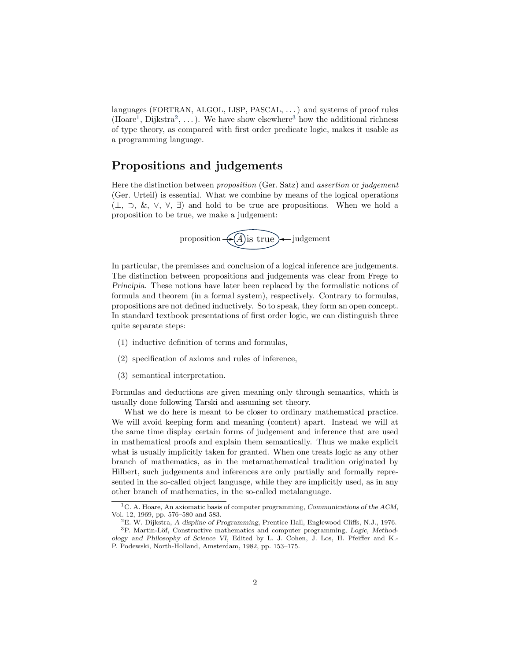languages (FORTRAN, ALGOL, LISP, PASCAL, ...) and systems of proof rules (Hoare<sup>[1](#page-7-1)</sup>, Dijkstra<sup>[2](#page-7-2)</sup>, ...). We have show elsewhere<sup>[3](#page-7-3)</sup> how the additional richness of type theory, as compared with first order predicate logic, makes it usable as a programming language.

## Propositions and judgements

<span id="page-7-0"></span>Here the distinction between proposition (Ger. Satz) and assertion or judgement (Ger. Urteil) is essential. What we combine by means of the logical operations (⊥, ⊃, &, ∨, ∀, ∃) and hold to be true are propositions. When we hold a proposition to be true, we make a judgement:



In particular, the premisses and conclusion of a logical inference are judgements. The distinction between propositions and judgements was clear from Frege to Principia. These notions have later been replaced by the formalistic notions of formula and theorem (in a formal system), respectively. Contrary to formulas, propositions are not defined inductively. So to speak, they form an open concept. In standard textbook presentations of first order logic, we can distinguish three quite separate steps:

- (1) inductive definition of terms and formulas,
- (2) specification of axioms and rules of inference,
- (3) semantical interpretation.

Formulas and deductions are given meaning only through semantics, which is usually done following Tarski and assuming set theory.

What we do here is meant to be closer to ordinary mathematical practice. We will avoid keeping form and meaning (content) apart. Instead we will at the same time display certain forms of judgement and inference that are used in mathematical proofs and explain them semantically. Thus we make explicit what is usually implicitly taken for granted. When one treats logic as any other branch of mathematics, as in the metamathematical tradition originated by Hilbert, such judgements and inferences are only partially and formally represented in the so-called object language, while they are implicitly used, as in any other branch of mathematics, in the so-called metalanguage.

<span id="page-7-1"></span><sup>1</sup>C. A. Hoare, An axiomatic basis of computer programming, Communications of the ACM, Vol. 12, 1969, pp. 576–580 and 583.

<span id="page-7-3"></span><span id="page-7-2"></span><sup>2</sup>E. W. Dijkstra, A displine of Programming, Prentice Hall, Englewood Cliffs, N.J., 1976.

<sup>&</sup>lt;sup>3</sup>P. Martin-Löf, Constructive mathematics and computer programming, Logic, Methodology and Philosophy of Science VI, Edited by L. J. Cohen, J. Los, H. Pfeiffer and K.- P. Podewski, North-Holland, Amsterdam, 1982, pp. 153–175.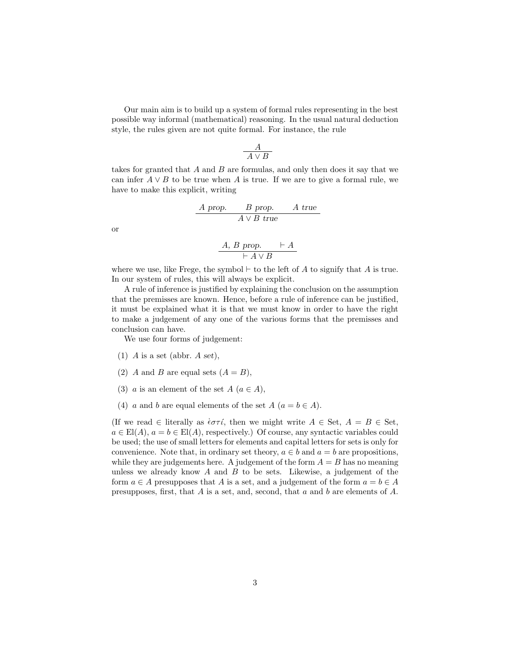Our main aim is to build up a system of formal rules representing in the best possible way informal (mathematical) reasoning. In the usual natural deduction style, the rules given are not quite formal. For instance, the rule

$$
\frac{A}{A \vee B}
$$

takes for granted that  $A$  and  $B$  are formulas, and only then does it say that we can infer  $A \vee B$  to be true when A is true. If we are to give a formal rule, we have to make this explicit, writing

$$
\begin{array}{c|c}\nA \text{ prop.} & B \text{ prop.} & A \text{ true} \\
\hline\nA \lor B \text{ true}\n\end{array}
$$

or

$$
\begin{array}{c|c}\nA, B \text{ prop.} & \vdash A \\
\hline\n\vdash A \lor B\n\end{array}
$$

where we use, like Frege, the symbol  $\vdash$  to the left of A to signify that A is true. In our system of rules, this will always be explicit.

A rule of inference is justified by explaining the conclusion on the assumption that the premisses are known. Hence, before a rule of inference can be justified, it must be explained what it is that we must know in order to have the right to make a judgement of any one of the various forms that the premisses and conclusion can have.

We use four forms of judgement:

- $(1)$  A is a set (abbr. A set),
- (2) A and B are equal sets  $(A = B)$ ,
- (3) *a* is an element of the set  $A$  ( $a \in A$ ),
- (4) a and b are equal elements of the set  $A(a = b \in A)$ .

(If we read  $\in$  literally as  $\epsilon \sigma \tau \ell$ , then we might write  $A \in$  Set,  $A = B \in$  Set,  $a \in El(A), a = b \in El(A)$ , respectively.) Of course, any syntactic variables could be used; the use of small letters for elements and capital letters for sets is only for convenience. Note that, in ordinary set theory,  $a \in b$  and  $a = b$  are propositions, while they are judgements here. A judgement of the form  $A = B$  has no meaning unless we already know  $A$  and  $B$  to be sets. Likewise, a judgement of the form  $a \in A$  presupposes that A is a set, and a judgement of the form  $a = b \in A$ presupposes, first, that  $A$  is a set, and, second, that  $a$  and  $b$  are elements of  $A$ .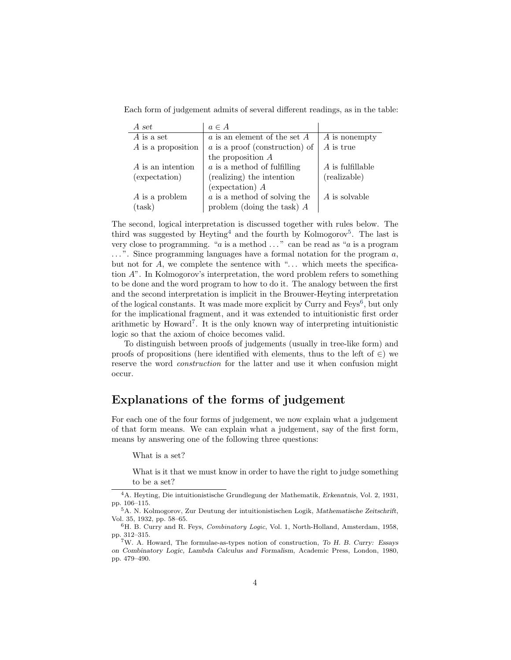Each form of judgement admits of several different readings, as in the table:

| A set              | $a \in A$                        |                    |
|--------------------|----------------------------------|--------------------|
| A is a set         | $a$ is an element of the set $A$ | $A$ is nonempty    |
| A is a proposition | $a$ is a proof (construction) of | A is true          |
|                    | the proposition $A$              |                    |
| A is an intention  | $a$ is a method of fulfilling    | $A$ is fulfillable |
| (expectation)      | (realizing) the intention        | (realizable)       |
|                    | (expectation) $A$                |                    |
| A is a problem     | a is a method of solving the     | A is solvable      |
| $(\rm{task})$      | problem (doing the task) $A$     |                    |

The second, logical interpretation is discussed together with rules below. The third was suggested by  $Heyting<sup>4</sup>$  $Heyting<sup>4</sup>$  $Heyting<sup>4</sup>$  and the fourth by Kolmogorov<sup>[5](#page-9-2)</sup>. The last is very close to programming. "a is a method  $\dots$ " can be read as "a is a program  $\dots$ ". Since programming languages have a formal notation for the program  $a$ , but not for  $A$ , we complete the sentence with "... which meets the specification A". In Kolmogorov's interpretation, the word problem refers to something to be done and the word program to how to do it. The analogy between the first and the second interpretation is implicit in the Brouwer-Heyting interpretation of the logical constants. It was made more explicit by Curry and Feys<sup>[6](#page-9-3)</sup>, but only for the implicational fragment, and it was extended to intuitionistic first order arithmetic by Howard[7](#page-9-4) . It is the only known way of interpreting intuitionistic logic so that the axiom of choice becomes valid.

To distinguish between proofs of judgements (usually in tree-like form) and proofs of propositions (here identified with elements, thus to the left of  $\in$ ) we reserve the word construction for the latter and use it when confusion might occur.

### Explanations of the forms of judgement

<span id="page-9-0"></span>For each one of the four forms of judgement, we now explain what a judgement of that form means. We can explain what a judgement, say of the first form, means by answering one of the following three questions:

What is a set?

What is it that we must know in order to have the right to judge something to be a set?

<span id="page-9-1"></span><sup>4</sup>A. Heyting, Die intuitionistische Grundlegung der Mathematik, Erkenntnis, Vol. 2, 1931, pp. 106–115.

<span id="page-9-2"></span><sup>5</sup>A. N. Kolmogorov, Zur Deutung der intuitionistischen Logik, Mathematische Zeitschrift, Vol. 35, 1932, pp. 58–65.

<span id="page-9-3"></span><sup>&</sup>lt;sup>6</sup>H. B. Curry and R. Feys, *Combinatory Logic*, Vol. 1, North-Holland, Amsterdam, 1958, pp. 312–315.

<span id="page-9-4"></span><sup>7</sup>W. A. Howard, The formulae-as-types notion of construction, To H. B. Curry: Essays on Combinatory Logic, Lambda Calculus and Formalism, Academic Press, London, 1980, pp. 479–490.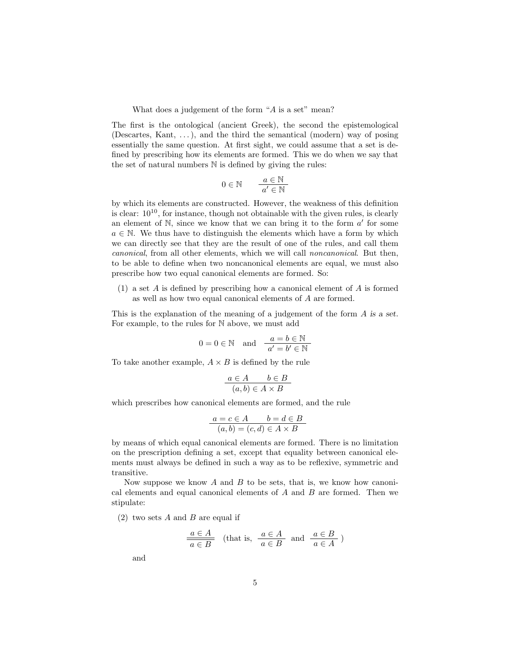What does a judgement of the form "A is a set" mean?

The first is the ontological (ancient Greek), the second the epistemological (Descartes, Kant,  $\dots$ ), and the third the semantical (modern) way of posing essentially the same question. At first sight, we could assume that a set is defined by prescribing how its elements are formed. This we do when we say that the set of natural numbers  $N$  is defined by giving the rules:

$$
0 \in \mathbb{N} \qquad \frac{a \in \mathbb{N}}{a' \in \mathbb{N}}
$$

by which its elements are constructed. However, the weakness of this definition is clear:  $10^{10}$ , for instance, though not obtainable with the given rules, is clearly an element of  $N$ , since we know that we can bring it to the form  $a'$  for some  $a \in \mathbb{N}$ . We thus have to distinguish the elements which have a form by which we can directly see that they are the result of one of the rules, and call them canonical, from all other elements, which we will call noncanonical. But then, to be able to define when two noncanonical elements are equal, we must also prescribe how two equal canonical elements are formed. So:

 $(1)$  a set A is defined by prescribing how a canonical element of A is formed as well as how two equal canonical elements of A are formed.

This is the explanation of the meaning of a judgement of the form A is a set. For example, to the rules for N above, we must add

$$
0 = 0 \in \mathbb{N} \quad \text{and} \quad \frac{a = b \in \mathbb{N}}{a' = b' \in \mathbb{N}}
$$

To take another example,  $A \times B$  is defined by the rule

$$
\frac{a \in A \qquad b \in B}{(a, b) \in A \times B}
$$

which prescribes how canonical elements are formed, and the rule

$$
a = c \in A \qquad b = d \in B
$$

$$
(a, b) = (c, d) \in A \times B
$$

by means of which equal canonical elements are formed. There is no limitation on the prescription defining a set, except that equality between canonical elements must always be defined in such a way as to be reflexive, symmetric and transitive.

Now suppose we know  $A$  and  $B$  to be sets, that is, we know how canonical elements and equal canonical elements of  $A$  and  $B$  are formed. Then we stipulate:

 $(2)$  two sets A and B are equal if

$$
\frac{a \in A}{a \in B} \quad \text{(that is, } \frac{a \in A}{a \in B} \text{ and } \frac{a \in B}{a \in A} \text{)}
$$

and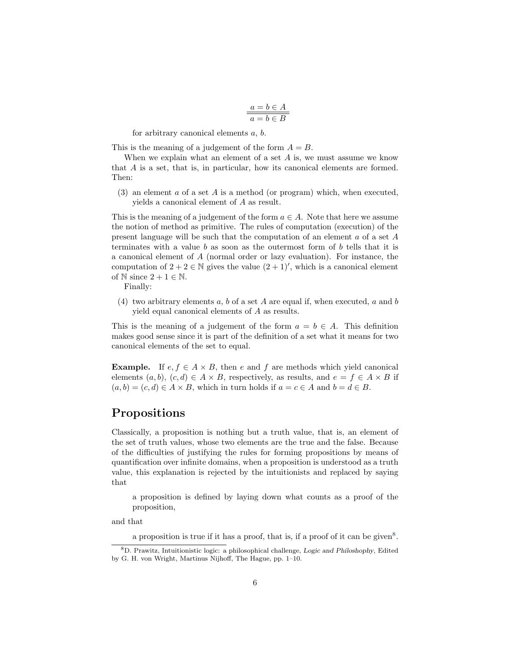$$
\cfrac{a=b\in A}{a=b\in B}
$$

for arbitrary canonical elements a, b.

This is the meaning of a judgement of the form  $A = B$ .

When we explain what an element of a set  $A$  is, we must assume we know that A is a set, that is, in particular, how its canonical elements are formed. Then:

(3) an element  $a$  of a set  $A$  is a method (or program) which, when executed, yields a canonical element of A as result.

This is the meaning of a judgement of the form  $a \in A$ . Note that here we assume the notion of method as primitive. The rules of computation (execution) of the present language will be such that the computation of an element  $a$  of a set  $A$ terminates with a value  $b$  as soon as the outermost form of  $b$  tells that it is a canonical element of A (normal order or lazy evaluation). For instance, the computation of  $2 + 2 \in \mathbb{N}$  gives the value  $(2 + 1)'$ , which is a canonical element of  $\mathbb N$  since  $2 + 1 \in \mathbb N$ .

Finally:

(4) two arbitrary elements  $a, b$  of a set A are equal if, when executed,  $a$  and  $b$ yield equal canonical elements of A as results.

This is the meaning of a judgement of the form  $a = b \in A$ . This definition makes good sense since it is part of the definition of a set what it means for two canonical elements of the set to equal.

**Example.** If  $e, f \in A \times B$ , then e and f are methods which yield canonical elements  $(a, b), (c, d) \in A \times B$ , respectively, as results, and  $e = f \in A \times B$  if  $(a, b) = (c, d) \in A \times B$ , which in turn holds if  $a = c \in A$  and  $b = d \in B$ .

### Propositions

<span id="page-11-0"></span>Classically, a proposition is nothing but a truth value, that is, an element of the set of truth values, whose two elements are the true and the false. Because of the difficulties of justifying the rules for forming propositions by means of quantification over infinite domains, when a proposition is understood as a truth value, this explanation is rejected by the intuitionists and replaced by saying that

a proposition is defined by laying down what counts as a proof of the proposition,

and that

a proposition is true if it has a proof, that is, if a proof of it can be given<sup>[8](#page-11-1)</sup>.

<span id="page-11-1"></span><sup>8</sup>D. Prawitz, Intuitionistic logic: a philosophical challenge, Logic and Philoshophy, Edited by G. H. von Wright, Martinus Nijhoff, The Hague, pp. 1–10.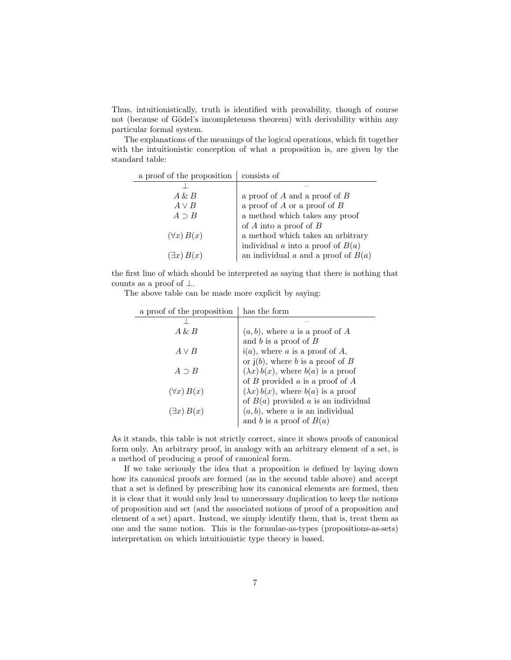Thus, intuitionistically, truth is identified with provability, though of course not (because of Gödel's incompleteness theorem) with derivability within any particular formal system.

The explanations of the meanings of the logical operations, which fit together with the intuitionistic conception of what a proposition is, are given by the standard table:

a proof of the proposition consists of ⊥ –  $A \& B$  | a proof of A and a proof of B  $A \vee B$  a proof of A or a proof of B  $A \supset B$  a method which takes any proof of A into a proof of B  $(\forall x) B(x)$  a method which takes an arbitrary individual a into a proof of  $B(a)$  $(\exists x) B(x)$  an individual a and a proof of  $B(a)$ 

the first line of which should be interpreted as saying that there is nothing that counts as a proof of ⊥.

The above table can be made more explicit by saying:

| a proof of the proposition | has the form                                 |
|----------------------------|----------------------------------------------|
|                            |                                              |
| A & B                      | $(a, b)$ , where a is a proof of A           |
|                            | and $b$ is a proof of $B$                    |
| $A \vee B$                 | $i(a)$ , where a is a proof of A,            |
|                            | or $j(b)$ , where b is a proof of B          |
| $A \supset B$              | $(\lambda x) b(x)$ , where $b(a)$ is a proof |
|                            | of $B$ provided $a$ is a proof of $A$        |
| $(\forall x) B(x)$         | $(\lambda x) b(x)$ , where $b(a)$ is a proof |
|                            | of $B(a)$ provided a is an individual        |
| $(\exists x) B(x)$         | $(a, b)$ , where a is an individual          |
|                            | and b is a proof of $B(a)$                   |

As it stands, this table is not strictly correct, since it shows proofs of canonical form only. An arbitrary proof, in analogy with an arbitrary element of a set, is a method of producing a proof of canonical form.

If we take seriously the idea that a proposition is defined by laying down how its canonical proofs are formed (as in the second table above) and accept that a set is defined by prescribing how its canonical elements are formed, then it is clear that it would only lead to unnecessary duplication to keep the notions of proposition and set (and the associated notions of proof of a proposition and element of a set) apart. Instead, we simply identify them, that is, treat them as one and the same notion. This is the formulae-as-types (propositions-as-sets) interpretation on which intuitionistic type theory is based.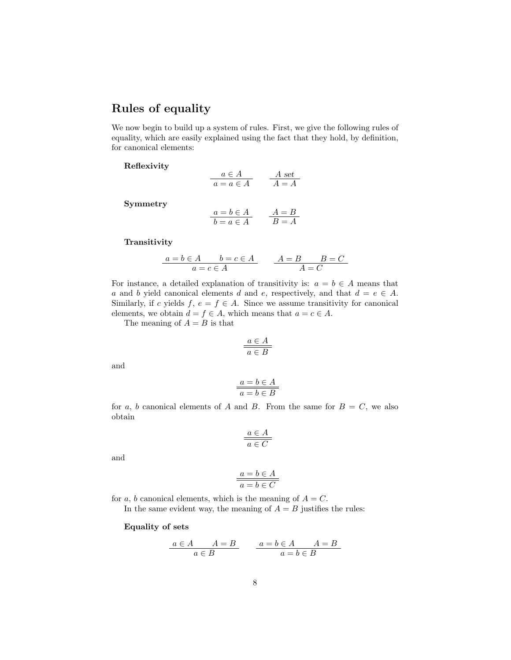# Rules of equality

<span id="page-13-0"></span>We now begin to build up a system of rules. First, we give the following rules of equality, which are easily explained using the fact that they hold, by definition, for canonical elements:

### Reflexivity

Symmetry

| $a \in A$     | A set   |  |
|---------------|---------|--|
| $a = a \in A$ | $A = A$ |  |
|               |         |  |
|               |         |  |

 $a = b \in A$  $b = a \in A$  $A = B$  $B = A$ 

### Transitivity

$$
\begin{array}{c}\n a = b \in A \qquad b = c \in A \\
 a = c \in A\n\end{array}\n\qquad\n\begin{array}{c}\n A = B \qquad B = C \\
 A = C\n\end{array}
$$

For instance, a detailed explanation of transitivity is:  $a = b \in A$  means that a and b yield canonical elements d and e, respectively, and that  $d = e \in A$ . Similarly, if c yields  $f, e = f \in A$ . Since we assume transitivity for canonical elements, we obtain  $d = f \in A$ , which means that  $a = c \in A$ .

The meaning of  $A = B$  is that

$$
\frac{a\in A}{a\in B}
$$

and

$$
\cfrac{a=b\in A}{a=b\in B}
$$

for a, b canonical elements of A and B. From the same for  $B = C$ , we also obtain

$$
\cfrac{a\in A}{a\in C}
$$

and

$$
\cfrac{a=b\in A}{a=b\in C}
$$

for a, b canonical elements, which is the meaning of  $A = C$ . In the same evident way, the meaning of  $A = B$  justifies the rules:

### Equality of sets

$$
\begin{array}{c}\n a \in A \qquad A = B \\
 a \in B\n\end{array}\n\qquad\n\begin{array}{c}\n a = b \in A \qquad A = B \\
 a = b \in B\n\end{array}
$$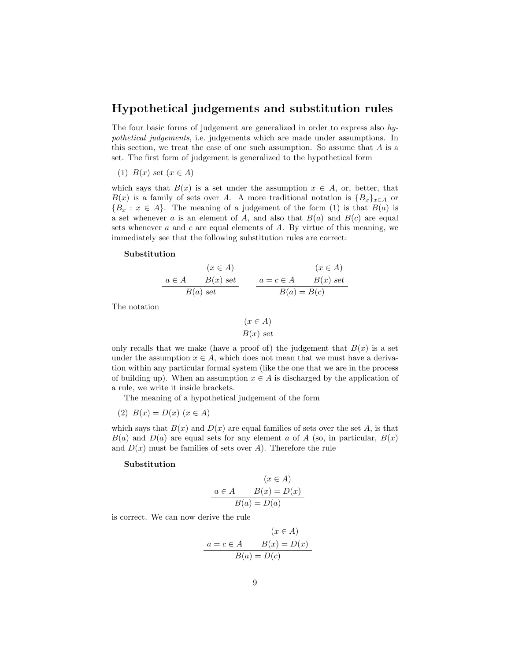### Hypothetical judgements and substitution rules

<span id="page-14-0"></span>The four basic forms of judgement are generalized in order to express also hypothetical judgements, i.e. judgements which are made under assumptions. In this section, we treat the case of one such assumption. So assume that  $A$  is a set. The first form of judgement is generalized to the hypothetical form

(1)  $B(x)$  set  $(x \in A)$ 

which says that  $B(x)$  is a set under the assumption  $x \in A$ , or, better, that  $B(x)$  is a family of sets over A. A more traditional notation is  ${B_x}_{x \in A}$  or  ${B_x : x \in A}$ . The meaning of a judgement of the form (1) is that  $B(a)$  is a set whenever a is an element of A, and also that  $B(a)$  and  $B(c)$  are equal sets whenever  $a$  and  $c$  are equal elements of  $A$ . By virtue of this meaning, we immediately see that the following substitution rules are correct:

#### Substitution

$$
(x \in A) \qquad (x \in A)
$$
  
\n
$$
\underline{a \in A \qquad B(x) \text{ set}} \qquad \underline{a = c \in A \qquad B(x) \text{ set}}
$$
  
\n
$$
\underline{B(a) \text{ set}} \qquad \underline{a = c \in A \qquad B(x) \text{ set}}
$$

The notation

$$
(x \in A)
$$

$$
B(x) \text{ set}
$$

only recalls that we make (have a proof of) the judgement that  $B(x)$  is a set under the assumption  $x \in A$ , which does not mean that we must have a derivation within any particular formal system (like the one that we are in the process of building up). When an assumption  $x \in A$  is discharged by the application of a rule, we write it inside brackets.

The meaning of a hypothetical judgement of the form

$$
(2) B(x) = D(x) (x \in A)
$$

which says that  $B(x)$  and  $D(x)$  are equal families of sets over the set A, is that  $B(a)$  and  $D(a)$  are equal sets for any element a of A (so, in particular,  $B(x)$ ) and  $D(x)$  must be families of sets over A). Therefore the rule

### Substitution

$$
(x \in A)
$$

$$
a \in A \qquad B(x) = D(x)
$$

$$
B(a) = D(a)
$$

is correct. We can now derive the rule

$$
(x \in A)
$$
  
\n
$$
a = c \in A \qquad B(x) = D(x)
$$
  
\n
$$
B(a) = D(c)
$$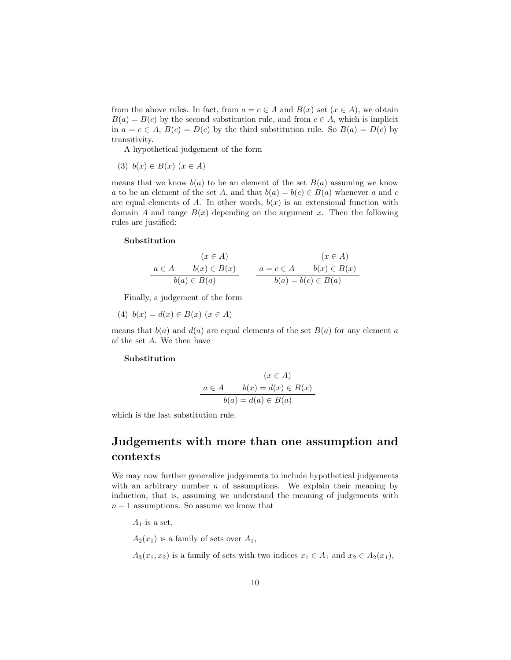from the above rules. In fact, from  $a = c \in A$  and  $B(x)$  set  $(x \in A)$ , we obtain  $B(a) = B(c)$  by the second substitution rule, and from  $c \in A$ , which is implicit in  $a = c \in A$ ,  $B(c) = D(c)$  by the third substitution rule. So  $B(a) = D(c)$  by transitivity.

A hypothetical judgement of the form

$$
(3) b(x) \in B(x) (x \in A)
$$

means that we know  $b(a)$  to be an element of the set  $B(a)$  assuming we know a to be an element of the set A, and that  $b(a) = b(c) \in B(a)$  whenever a and c are equal elements of A. In other words,  $b(x)$  is an extensional function with domain A and range  $B(x)$  depending on the argument x. Then the following rules are justified:

#### Substitution

$$
(x \in A) \qquad (x \in A)
$$
  
\n
$$
\underline{a \in A} \qquad b(x) \in B(x)
$$
  
\n
$$
\underline{b(a) \in B(a)} \qquad \underline{a = c \in A} \qquad b(x) \in B(x)
$$
  
\n
$$
\underline{b(a) = b(c) \in B(a)}
$$

Finally, a judgement of the form

(4) 
$$
b(x) = d(x) \in B(x) \ (x \in A)
$$

means that  $b(a)$  and  $d(a)$  are equal elements of the set  $B(a)$  for any element a of the set A. We then have

### Substitution

$$
(x \in A)
$$

$$
a \in A \qquad b(x) = d(x) \in B(x)
$$

$$
b(a) = d(a) \in B(a)
$$

which is the last substitution rule.

# Judgements with more than one assumption and contexts

<span id="page-15-0"></span>We may now further generalize judgements to include hypothetical judgements with an arbitrary number  $n$  of assumptions. We explain their meaning by induction, that is, assuming we understand the meaning of judgements with  $n-1$  assumptions. So assume we know that

 $A_1$  is a set,

 $A_2(x_1)$  is a family of sets over  $A_1$ ,

 $A_3(x_1, x_2)$  is a family of sets with two indices  $x_1 \in A_1$  and  $x_2 \in A_2(x_1)$ ,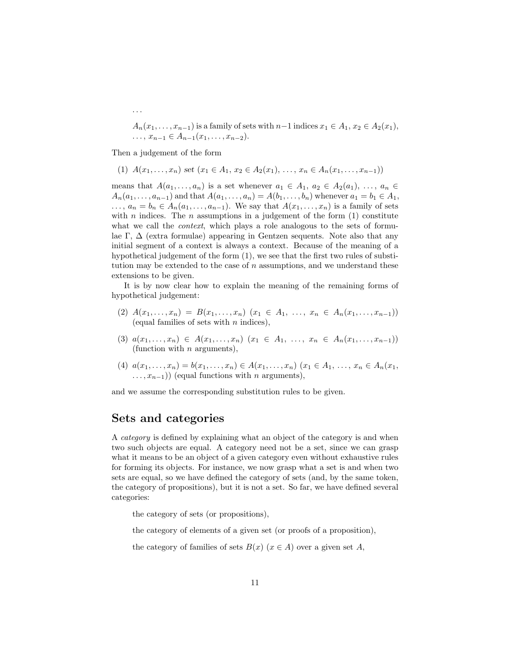$A_n(x_1, \ldots, x_{n-1})$  is a family of sets with  $n-1$  indices  $x_1 \in A_1, x_2 \in A_2(x_1)$ ,  $\ldots$ ,  $x_{n-1} \in A_{n-1}(x_1, \ldots, x_{n-2}).$ 

Then a judgement of the form

. . .

(1)  $A(x_1,...,x_n)$  set  $(x_1 \in A_1, x_2 \in A_2(x_1), ..., x_n \in A_n(x_1,...,x_{n-1}))$ 

means that  $A(a_1, \ldots, a_n)$  is a set whenever  $a_1 \in A_1$ ,  $a_2 \in A_2(a_1), \ldots, a_n \in A_n$  $A_n(a_1, ..., a_{n-1})$  and that  $A(a_1, ..., a_n) = A(b_1, ..., b_n)$  whenever  $a_1 = b_1 \in A_1$ ,  $\ldots, a_n = b_n \in A_n(a_1, \ldots, a_{n-1})$ . We say that  $A(x_1, \ldots, x_n)$  is a family of sets with *n* indices. The *n* assumptions in a judgement of the form  $(1)$  constitute what we call the *context*, which plays a role analogous to the sets of formulae Γ,  $\Delta$  (extra formulae) appearing in Gentzen sequents. Note also that any initial segment of a context is always a context. Because of the meaning of a hypothetical judgement of the form (1), we see that the first two rules of substitution may be extended to the case of  $n$  assumptions, and we understand these extensions to be given.

It is by now clear how to explain the meaning of the remaining forms of hypothetical judgement:

- (2)  $A(x_1,...,x_n) = B(x_1,...,x_n)$   $(x_1 \in A_1, ..., x_n \in A_n(x_1,...,x_{n-1}))$ (equal families of sets with  $n$  indices),
- (3)  $a(x_1, \ldots, x_n) \in A(x_1, \ldots, x_n)$   $(x_1 \in A_1, \ldots, x_n \in A_n(x_1, \ldots, x_{n-1}))$ (function with  $n$  arguments),
- (4)  $a(x_1,...,x_n) = b(x_1,...,x_n) \in A(x_1,...,x_n)$   $(x_1 \in A_1,...,x_n \in A_n(x_1,$  $\dots, x_{n-1})$ ) (equal functions with *n* arguments),

and we assume the corresponding substitution rules to be given.

### Sets and categories

<span id="page-16-0"></span>A category is defined by explaining what an object of the category is and when two such objects are equal. A category need not be a set, since we can grasp what it means to be an object of a given category even without exhaustive rules for forming its objects. For instance, we now grasp what a set is and when two sets are equal, so we have defined the category of sets (and, by the same token, the category of propositions), but it is not a set. So far, we have defined several categories:

the category of sets (or propositions),

the category of elements of a given set (or proofs of a proposition),

the category of families of sets  $B(x)$  ( $x \in A$ ) over a given set A,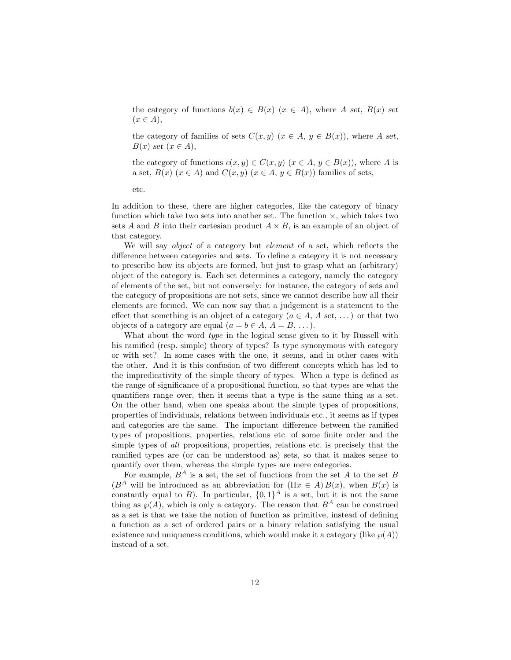the category of functions  $b(x) \in B(x)$   $(x \in A)$ , where A set,  $B(x)$  set  $(x \in A),$ 

the category of families of sets  $C(x, y)$   $(x \in A, y \in B(x))$ , where A set,  $B(x)$  set  $(x \in A)$ ,

the category of functions  $c(x, y) \in C(x, y)$   $(x \in A, y \in B(x))$ , where A is a set,  $B(x)$  ( $x \in A$ ) and  $C(x, y)$  ( $x \in A$ ,  $y \in B(x)$ ) families of sets,

etc.

In addition to these, there are higher categories, like the category of binary function which take two sets into another set. The function  $\times$ , which takes two sets A and B into their cartesian product  $A \times B$ , is an example of an object of that category.

We will say *object* of a category but *element* of a set, which reflects the difference between categories and sets. To define a category it is not necessary to prescribe how its objects are formed, but just to grasp what an (arbitrary) object of the category is. Each set determines a category, namely the category of elements of the set, but not conversely: for instance, the category of sets and the category of propositions are not sets, since we cannot describe how all their elements are formed. We can now say that a judgement is a statement to the effect that something is an object of a category  $(a \in A, A \text{ set}, ...)$  or that two objects of a category are equal  $(a = b \in A, A = B, \dots).$ 

What about the word *type* in the logical sense given to it by Russell with his ramified (resp. simple) theory of types? Is type synonymous with category or with set? In some cases with the one, it seems, and in other cases with the other. And it is this confusion of two different concepts which has led to the impredicativity of the simple theory of types. When a type is defined as the range of significance of a propositional function, so that types are what the quantifiers range over, then it seems that a type is the same thing as a set. On the other hand, when one speaks about the simple types of propositions, properties of individuals, relations between individuals etc., it seems as if types and categories are the same. The important difference between the ramified types of propositions, properties, relations etc. of some finite order and the simple types of all propositions, properties, relations etc. is precisely that the ramified types are (or can be understood as) sets, so that it makes sense to quantify over them, whereas the simple types are mere categories.

For example,  $B^A$  is a set, the set of functions from the set A to the set B  $(B^A$  will be introduced as an abbreviation for  $(\Pi x \in A) B(x)$ , when  $B(x)$  is constantly equal to B). In particular,  $\{0,1\}^A$  is a set, but it is not the same thing as  $\wp(A)$ , which is only a category. The reason that  $B^A$  can be construed as a set is that we take the notion of function as primitive, instead of defining a function as a set of ordered pairs or a binary relation satisfying the usual existence and uniqueness conditions, which would make it a category (like  $\wp(A)$ ) instead of a set.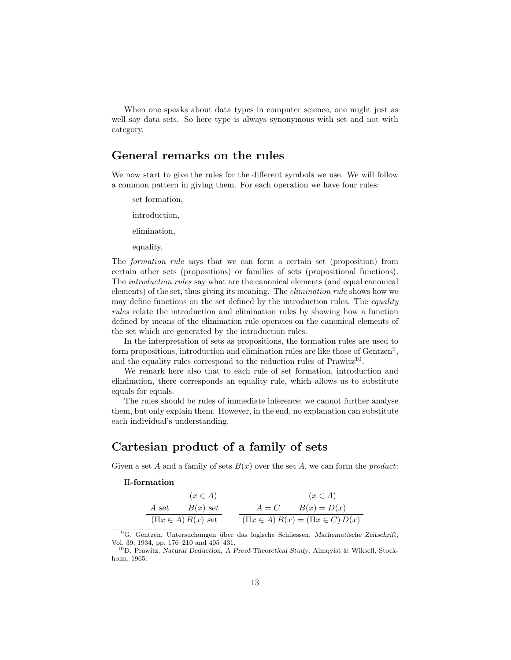When one speaks about data types in computer science, one might just as well say data sets. So here type is always synonymous with set and not with category.

### General remarks on the rules

<span id="page-18-0"></span>We now start to give the rules for the different symbols we use. We will follow a common pattern in giving them. For each operation we have four rules:

set formation,

introduction,

elimination,

equality.

The formation rule says that we can form a certain set (proposition) from certain other sets (propositions) or families of sets (propositional functions). The introduction rules say what are the canonical elements (and equal canonical elements) of the set, thus giving its meaning. The elimination rule shows how we may define functions on the set defined by the introduction rules. The equality rules relate the introduction and elimination rules by showing how a function defined by means of the elimination rule operates on the canonical elements of the set which are generated by the introduction rules.

In the interpretation of sets as propositions, the formation rules are used to form propositions, introduction and elimination rules are like those of  $\text{Centzen}^9$  $\text{Centzen}^9$ , and the equality rules correspond to the reduction rules of  $Prawitz<sup>10</sup>$  $Prawitz<sup>10</sup>$  $Prawitz<sup>10</sup>$ .

We remark here also that to each rule of set formation, introduction and elimination, there corresponds an equality rule, which allows us to substitute equals for equals.

The rules should be rules of immediate inference; we cannot further analyse them, but only explain them. However, in the end, no explanation can substitute each individual's understanding.

### Cartesian product of a family of sets

<span id="page-18-1"></span>Given a set A and a family of sets  $B(x)$  over the set A, we can form the *product*:

### Π-formation

|                          | $(x \in A)$ |         | $(x \in A)$                               |
|--------------------------|-------------|---------|-------------------------------------------|
| A set                    | $B(x)$ set  | $A = C$ | $B(x) = D(x)$                             |
| $(\Pi x \in A) B(x)$ set |             |         | $(\Pi x \in A) B(x) = (\Pi x \in C) D(x)$ |

<span id="page-18-2"></span> $9G.$  Gentzen, Untersuchungen über das logische Schliessen, Mathematische Zeitschrift, Vol. 39, 1934, pp. 176–210 and 405–431.

<span id="page-18-3"></span> $10D$ . Prawitz, Natural Deduction, A Proof-Theoretical Study, Almqvist & Wiksell, Stockholm, 1965.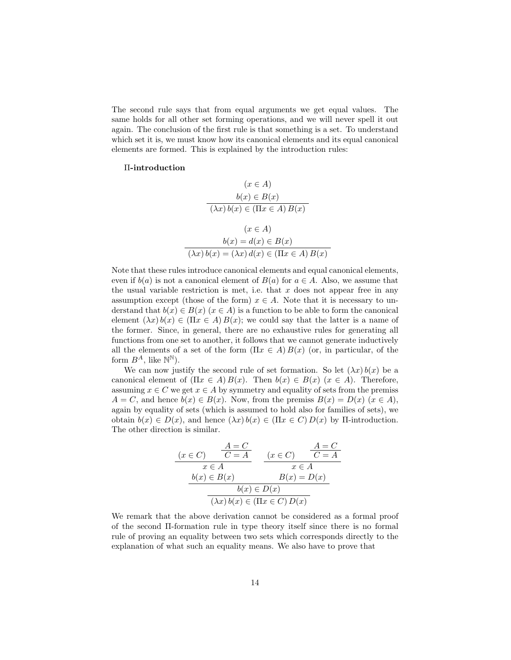The second rule says that from equal arguments we get equal values. The same holds for all other set forming operations, and we will never spell it out again. The conclusion of the first rule is that something is a set. To understand which set it is, we must know how its canonical elements and its equal canonical elements are formed. This is explained by the introduction rules:

### Π-introduction

$$
(x \in A)
$$

$$
b(x) \in B(x)
$$

$$
\overline{(\lambda x) b(x) \in (\Pi x \in A) B(x)}
$$

$$
(x \in A)
$$

$$
b(x) = d(x) \in B(x)
$$

$$
(\lambda x) b(x) = (\lambda x) d(x) \in (\Pi x \in A) B(x)
$$

Note that these rules introduce canonical elements and equal canonical elements, even if  $b(a)$  is not a canonical element of  $B(a)$  for  $a \in A$ . Also, we assume that the usual variable restriction is met, i.e. that  $x$  does not appear free in any assumption except (those of the form)  $x \in A$ . Note that it is necessary to understand that  $b(x) \in B(x)$   $(x \in A)$  is a function to be able to form the canonical element  $(\lambda x) b(x) \in (\Pi x \in A) B(x)$ ; we could say that the latter is a name of the former. Since, in general, there are no exhaustive rules for generating all functions from one set to another, it follows that we cannot generate inductively all the elements of a set of the form  $(\Pi x \in A) B(x)$  (or, in particular, of the form  $B^A$ , like  $\mathbb{N}^{\mathbb{N}}$ ).

We can now justify the second rule of set formation. So let  $(\lambda x) b(x)$  be a canonical element of  $(\Pi x \in A) B(x)$ . Then  $b(x) \in B(x)$   $(x \in A)$ . Therefore, assuming  $x \in C$  we get  $x \in A$  by symmetry and equality of sets from the premiss  $A = C$ , and hence  $b(x) \in B(x)$ . Now, from the premiss  $B(x) = D(x)$   $(x \in A)$ , again by equality of sets (which is assumed to hold also for families of sets), we obtain  $b(x) \in D(x)$ , and hence  $(\lambda x) b(x) \in (\Pi x \in C) D(x)$  by  $\Pi$ -introduction. The other direction is similar.

$$
(x \in C) \quad \frac{A = C}{C = A} \quad (x \in C) \quad \frac{A = C}{C = A}
$$
\n
$$
x \in A \quad x \in A
$$
\n
$$
b(x) \in B(x) \quad B(x) = D(x)
$$
\n
$$
b(x) \in D(x)
$$
\n
$$
(x, b)(x) \in (\Pi x \in C) D(x)
$$

We remark that the above derivation cannot be considered as a formal proof of the second Π-formation rule in type theory itself since there is no formal rule of proving an equality between two sets which corresponds directly to the explanation of what such an equality means. We also have to prove that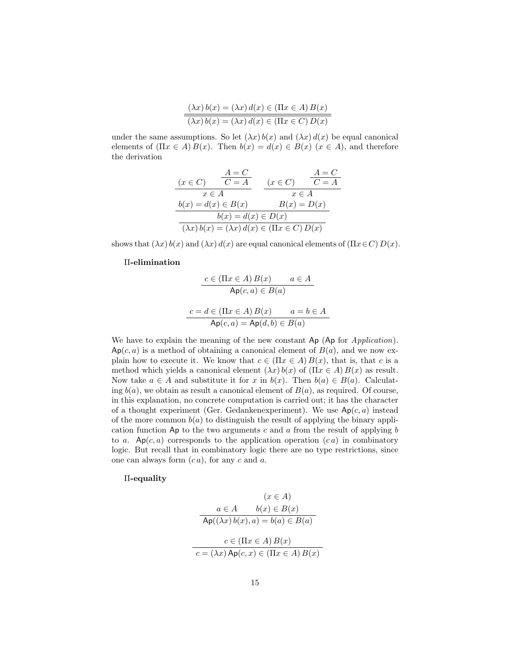$$
\frac{(\lambda x) b(x) = (\lambda x) d(x) \in (\Pi x \in A) B(x)}{(\lambda x) b(x) = (\lambda x) d(x) \in (\Pi x \in C) D(x)}
$$

under the same assumptions. So let  $(\lambda x) b(x)$  and  $(\lambda x) d(x)$  be equal canonical elements of  $(\Pi x \in A) B(x)$ . Then  $b(x) = d(x) \in B(x)$   $(x \in A)$ , and therefore the derivation

$$
\frac{A=C}{x \in A} \qquad \frac{A=C}{C=A} \qquad \frac{A=C}{x \in A}
$$
\n
$$
b(x) = d(x) \in B(x) \qquad B(x) = D(x)
$$
\n
$$
b(x) = d(x) \in D(x)
$$
\n
$$
\frac{b(x) = d(x) \in D(x)}{(\lambda x) b(x) = (\lambda x) d(x) \in (\Pi x \in C) D(x)}
$$

shows that  $(\lambda x) b(x)$  and  $(\lambda x) d(x)$  are equal canonical elements of  $(\Pi x \in C) D(x)$ .

### Π-elimination

$$
c \in (\Pi x \in A) B(x) \qquad a \in A
$$
  
 
$$
Ap(c, a) \in B(a)
$$
  

$$
c = d \in (\Pi x \in A) B(x) \qquad a = b \in A
$$
  

$$
Ap(c, a) = Ap(d, b) \in B(a)
$$

We have to explain the meaning of the new constant  $Ap (Ap for Application)$ .  $Ap(c, a)$  is a method of obtaining a canonical element of  $B(a)$ , and we now explain how to execute it. We know that  $c \in (\Pi x \in A) B(x)$ , that is, that c is a method which yields a canonical element  $(\lambda x) b(x)$  of  $(\Pi x \in A) B(x)$  as result. Now take  $a \in A$  and substitute it for x in  $b(x)$ . Then  $b(a) \in B(a)$ . Calculating  $b(a)$ , we obtain as result a canonical element of  $B(a)$ , as required. Of course, in this explanation, no concrete computation is carried out; it has the character of a thought experiment (Ger. Gedankenexperiment). We use  $Ap(c, a)$  instead of the more common  $b(a)$  to distinguish the result of applying the binary application function Ap to the two arguments  $c$  and  $a$  from the result of applying  $b$ to a. Ap(c, a) corresponds to the application operation  $(ca)$  in combinatory logic. But recall that in combinatory logic there are no type restrictions, since one can always form  $(c a)$ , for any c and a.

### Π-equality

$$
(x \in A)
$$

$$
a \in A \qquad b(x) \in B(x)
$$

$$
\overline{Ap((\lambda x) b(x), a) = b(a) \in B(a)}
$$

$$
c \in (\Pi x \in A) B(x)
$$

$$
c = (\lambda x) Ap(c, x) \in (\Pi x \in A) B(x)
$$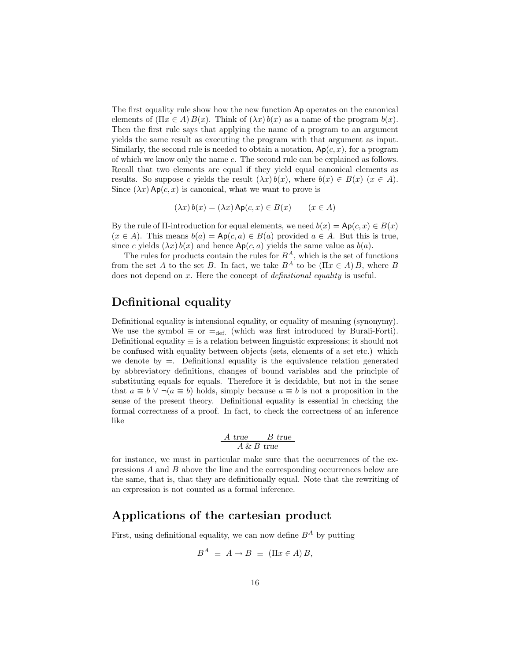The first equality rule show how the new function Ap operates on the canonical elements of  $(\Pi x \in A) B(x)$ . Think of  $(\lambda x) b(x)$  as a name of the program  $b(x)$ . Then the first rule says that applying the name of a program to an argument yields the same result as executing the program with that argument as input. Similarly, the second rule is needed to obtain a notation,  $Ap(c, x)$ , for a program of which we know only the name c. The second rule can be explained as follows. Recall that two elements are equal if they yield equal canonical elements as results. So suppose c yields the result  $(\lambda x) b(x)$ , where  $b(x) \in B(x)$   $(x \in A)$ . Since  $(\lambda x)$  Ap $(c, x)$  is canonical, what we want to prove is

$$
(\lambda x) b(x) = (\lambda x) \operatorname{Ap}(c, x) \in B(x) \qquad (x \in A)
$$

By the rule of  $\Pi$ -introduction for equal elements, we need  $b(x) = Ap(c, x) \in B(x)$  $(x \in A)$ . This means  $b(a) = Ap(c, a) \in B(a)$  provided  $a \in A$ . But this is true, since c yields  $(\lambda x) b(x)$  and hence  $Ap(c, a)$  yields the same value as  $b(a)$ .

The rules for products contain the rules for  $B^A$ , which is the set of functions from the set A to the set B. In fact, we take  $B^A$  to be  $(\Pi x \in A)$  B, where B does not depend on x. Here the concept of *definitional equality* is useful.

# Definitional equality

<span id="page-21-0"></span>Definitional equality is intensional equality, or equality of meaning (synonymy). We use the symbol  $\equiv$  or  $=_{\text{def.}}$  (which was first introduced by Burali-Forti). Definitional equality  $\equiv$  is a relation between linguistic expressions; it should not be confused with equality between objects (sets, elements of a set etc.) which we denote by  $=$ . Definitional equality is the equivalence relation generated by abbreviatory definitions, changes of bound variables and the principle of substituting equals for equals. Therefore it is decidable, but not in the sense that  $a \equiv b \vee \neg (a \equiv b)$  holds, simply because  $a \equiv b$  is not a proposition in the sense of the present theory. Definitional equality is essential in checking the formal correctness of a proof. In fact, to check the correctness of an inference like

$$
\begin{array}{c|c}\nA \; true & B \; true \\
\hline\nA \; \& \; B \; true\n\end{array}
$$

for instance, we must in particular make sure that the occurrences of the expressions A and B above the line and the corresponding occurrences below are the same, that is, that they are definitionally equal. Note that the rewriting of an expression is not counted as a formal inference.

### Applications of the cartesian product

<span id="page-21-1"></span>First, using definitional equality, we can now define  $B^A$  by putting

$$
B^A \equiv A \rightarrow B \equiv (\Pi x \in A) B,
$$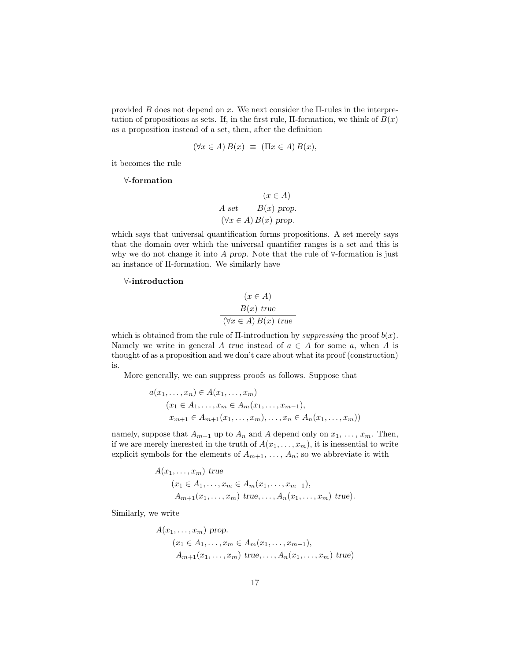provided  $B$  does not depend on  $x$ . We next consider the  $\Pi$ -rules in the interpretation of propositions as sets. If, in the first rule,  $\Pi$ -formation, we think of  $B(x)$ as a proposition instead of a set, then, after the definition

$$
(\forall x \in A) B(x) \equiv (\Pi x \in A) B(x),
$$

it becomes the rule

#### ∀-formation

$$
(x \in A)
$$
  
*A set*  $B(x)$  prop.  
 $(\forall x \in A) B(x)$  prop.

which says that universal quantification forms propositions. A set merely says that the domain over which the universal quantifier ranges is a set and this is why we do not change it into A prop. Note that the rule of  $\forall$ -formation is just an instance of Π-formation. We similarly have

### ∀-introduction

$$
(x \in A)
$$
  

$$
B(x) \text{ true}
$$
  

$$
(\forall x \in A) B(x) \text{ true}
$$

which is obtained from the rule of  $\Pi$ -introduction by *suppressing* the proof  $b(x)$ . Namely we write in general A true instead of  $a \in A$  for some a, when A is thought of as a proposition and we don't care about what its proof (construction) is.

More generally, we can suppress proofs as follows. Suppose that

$$
a(x_1, ..., x_n) \in A(x_1, ..., x_m)
$$
  
\n
$$
(x_1 \in A_1, ..., x_m \in A_m(x_1, ..., x_{m-1}),
$$
  
\n
$$
x_{m+1} \in A_{m+1}(x_1, ..., x_m), ..., x_n \in A_n(x_1, ..., x_m))
$$

namely, suppose that  $A_{m+1}$  up to  $A_n$  and A depend only on  $x_1, \ldots, x_m$ . Then, if we are merely inerested in the truth of  $A(x_1, \ldots, x_m)$ , it is inessential to write explicit symbols for the elements of  $A_{m+1}, \ldots, A_n$ ; so we abbreviate it with

$$
A(x_1,...,x_m)
$$
 true  
\n $(x_1 \in A_1,...,x_m \in A_m(x_1,...,x_{m-1}),$   
\n $A_{m+1}(x_1,...,x_m)$  true,...,  $A_n(x_1,...,x_m)$  true).

Similarly, we write

$$
A(x_1,...,x_m)
$$
 prop.  
\n $(x_1 \in A_1,...,x_m \in A_m(x_1,...,x_{m-1}),$   
\n $A_{m+1}(x_1,...,x_m)$  true,...,  $A_n(x_1,...,x_m)$  true)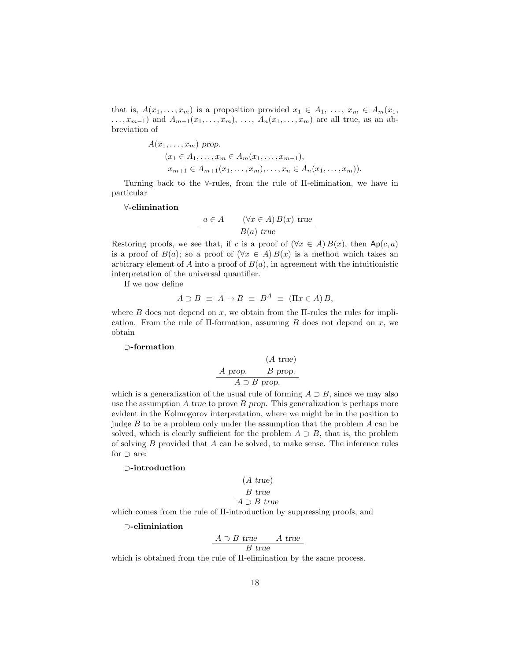that is,  $A(x_1, \ldots, x_m)$  is a proposition provided  $x_1 \in A_1, \ldots, x_m \in A_m(x_1, \ldots, x_m)$  $\dots, x_{m-1}$ ) and  $A_{m+1}(x_1, \dots, x_m), \dots, A_n(x_1, \dots, x_m)$  are all true, as an abbreviation of

$$
A(x_1, ..., x_m) \text{ prop.}
$$
  
\n $(x_1 \in A_1, ..., x_m \in A_m(x_1, ..., x_{m-1}),$   
\n $x_{m+1} \in A_{m+1}(x_1, ..., x_m), ..., x_n \in A_n(x_1, ..., x_m)).$ 

Turning back to the ∀-rules, from the rule of Π-elimination, we have in particular

∀-elimination

$$
\frac{a \in A \qquad (\forall x \in A) B(x) \text{ true}}{B(a) \text{ true}}
$$

Restoring proofs, we see that, if c is a proof of  $(\forall x \in A) B(x)$ , then Ap(c, a) is a proof of  $B(a)$ ; so a proof of  $(\forall x \in A) B(x)$  is a method which takes an arbitrary element of A into a proof of  $B(a)$ , in agreement with the intuitionistic interpretation of the universal quantifier.

If we now define

$$
A \supset B \equiv A \to B \equiv B^A \equiv (\Pi x \in A) B,
$$

where  $B$  does not depend on  $x$ , we obtain from the  $\Pi$ -rules the rules for implication. From the rule of  $\Pi$ -formation, assuming  $B$  does not depend on  $x$ , we obtain

#### ⊃-formation

$$
\begin{array}{c}\n (A \; true) \\
 \underline{A} \; prop. \quad B \; prop. \\
 \underline{A \supset B} \; prop.\n \end{array}
$$

which is a generalization of the usual rule of forming  $A \supset B$ , since we may also use the assumption  $A$  true to prove  $B$  prop. This generalization is perhaps more evident in the Kolmogorov interpretation, where we might be in the position to judge  $B$  to be a problem only under the assumption that the problem  $A$  can be solved, which is clearly sufficient for the problem  $A \supset B$ , that is, the problem of solving  $B$  provided that  $A$  can be solved, to make sense. The inference rules for ⊃ are:

#### ⊃-introduction

$$
\frac{(A \text{ true})}{B \text{ true}}
$$
  

$$
A \supset B \text{ true}
$$

which comes from the rule of Π-introduction by suppressing proofs, and

#### ⊃-eliminiation

$$
\frac{A \supset B \ true}{B \ true}
$$

which is obtained from the rule of Π-elimination by the same process.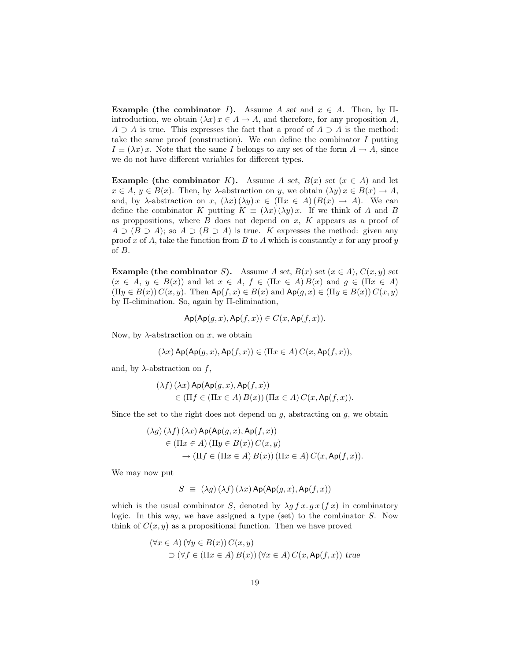Example (the combinator *I*). Assume A set and  $x \in A$ . Then, by  $\Pi$ introduction, we obtain  $(\lambda x) x \in A \to A$ , and therefore, for any proposition A,  $A \supseteq A$  is true. This expresses the fact that a proof of  $A \supseteq A$  is the method: take the same proof (construction). We can define the combinator  $I$  putting  $I \equiv (\lambda x) x$ . Note that the same I belongs to any set of the form  $A \to A$ , since we do not have different variables for different types.

**Example (the combinator K).** Assume A set,  $B(x)$  set  $(x \in A)$  and let  $x \in A$ ,  $y \in B(x)$ . Then, by  $\lambda$ -abstraction on y, we obtain  $(\lambda y) x \in B(x) \to A$ , and, by  $\lambda$ -abstraction on x,  $(\lambda x)(\lambda y)x \in (\Pi x \in A)(B(x) \to A)$ . We can define the combinator K putting  $K = (\lambda x)(\lambda y)x$ . If we think of A and B as proppositions, where  $B$  does not depend on  $x$ ,  $K$  appears as a proof of  $A \supset (B \supset A)$ ; so  $A \supset (B \supset A)$  is true. K expresses the method: given any proof x of A, take the function from B to A which is constantly x for any proof y of B.

**Example (the combinator** S). Assume A set,  $B(x)$  set  $(x \in A)$ ,  $C(x, y)$  set  $(x \in A, y \in B(x))$  and let  $x \in A, f \in (\Pi x \in A) B(x)$  and  $g \in (\Pi x \in A)$  $(\Pi y \in B(x)) C(x, y)$ . Then  $Ap(f, x) \in B(x)$  and  $Ap(g, x) \in (\Pi y \in B(x)) C(x, y)$ by Π-elimination. So, again by Π-elimination,

$$
\mathsf{Ap}(\mathsf{Ap}(g,x),\mathsf{Ap}(f,x)) \in C(x,\mathsf{Ap}(f,x)).
$$

Now, by  $\lambda$ -abstraction on x, we obtain

$$
(\lambda x) \operatorname{Ap}(\operatorname{Ap}(g, x), \operatorname{Ap}(f, x)) \in (\Pi x \in A) C(x, \operatorname{Ap}(f, x)),
$$

and, by  $\lambda$ -abstraction on f,

$$
(\lambda f) (\lambda x) \operatorname{Ap}(\operatorname{Ap}(g, x), \operatorname{Ap}(f, x))
$$
  
\n
$$
\in (\Pi f \in (\Pi x \in A) B(x)) (\Pi x \in A) C(x, \operatorname{Ap}(f, x)).
$$

Since the set to the right does not depend on  $g$ , abstracting on  $g$ , we obtain

$$
(\lambda g) (\lambda f) (\lambda x) \operatorname{Ap}(\operatorname{Ap}(g, x), \operatorname{Ap}(f, x))
$$
  
\n
$$
\in (\Pi x \in A) (\Pi y \in B(x)) C(x, y)
$$
  
\n
$$
\rightarrow (\Pi f \in (\Pi x \in A) B(x)) (\Pi x \in A) C(x, \operatorname{Ap}(f, x)).
$$

We may now put

$$
S \equiv (\lambda g) (\lambda f) (\lambda x) \operatorname{Ap}(\operatorname{Ap}(g, x), \operatorname{Ap}(f, x))
$$

which is the usual combinator S, denoted by  $\lambda g f x. g x(f x)$  in combinatory logic. In this way, we have assigned a type (set) to the combinator S. Now think of  $C(x, y)$  as a propositional function. Then we have proved

$$
(\forall x \in A) (\forall y \in B(x)) C(x, y)
$$
  
\n
$$
\supset (\forall f \in (\Pi x \in A) B(x)) (\forall x \in A) C(x, \text{Ap}(f, x)) \text{ true}
$$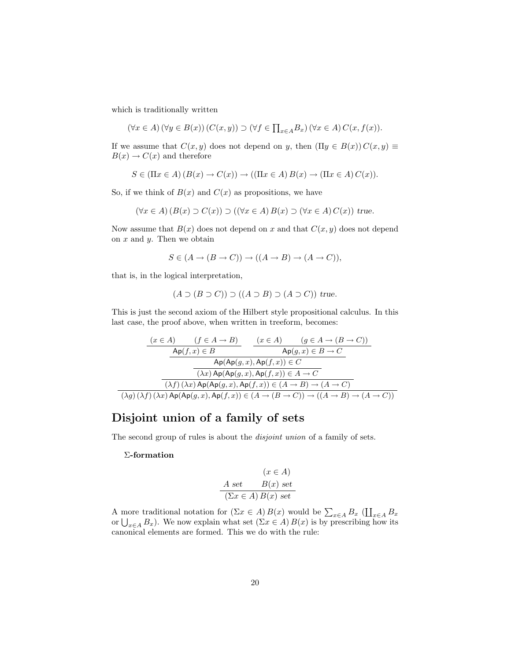which is traditionally written

$$
(\forall x \in A) (\forall y \in B(x)) (C(x, y)) \supset (\forall f \in \prod_{x \in A} B_x) (\forall x \in A) C(x, f(x)).
$$

If we assume that  $C(x, y)$  does not depend on y, then  $(\Pi y \in B(x)) C(x, y) \equiv$  $B(x) \to C(x)$  and therefore

$$
S \in (\Pi x \in A) (B(x) \to C(x)) \to ((\Pi x \in A) B(x) \to (\Pi x \in A) C(x)).
$$

So, if we think of  $B(x)$  and  $C(x)$  as propositions, we have

$$
(\forall x \in A) (B(x) \supset C(x)) \supset ((\forall x \in A) B(x) \supset (\forall x \in A) C(x)) \text{ true.}
$$

Now assume that  $B(x)$  does not depend on x and that  $C(x, y)$  does not depend on  $x$  and  $y$ . Then we obtain

$$
S \in (A \to (B \to C)) \to ((A \to B) \to (A \to C)),
$$

that is, in the logical interpretation,

$$
(A \supset (B \supset C)) \supset ((A \supset B) \supset (A \supset C))
$$
 true.

This is just the second axiom of the Hilbert style propositional calculus. In this last case, the proof above, when written in treeform, becomes:

$$
\frac{(x \in A) \qquad (f \in A \to B)}{\mathsf{Ap}(f, x) \in B} \qquad \frac{(x \in A) \qquad (g \in A \to (B \to C))}{\mathsf{Ap}(g, x) \in B \to C}
$$
\n
$$
\frac{\mathsf{Ap}(\mathsf{Ap}(g, x), \mathsf{Ap}(f, x)) \in C}{(\lambda x) \mathsf{Ap}(\mathsf{Ap}(g, x), \mathsf{Ap}(f, x)) \in A \to C}
$$
\n
$$
\frac{\mathsf{ap}(\mathsf{Ap}(g, x), \mathsf{Ap}(f, x)) \in (A \to C)}{(\lambda f) (\lambda x) \mathsf{Ap}(\mathsf{Ap}(g, x), \mathsf{Ap}(f, x)) \in (A \to B) \to (A \to C)}
$$
\n
$$
(\lambda g) (\lambda f) (\lambda x) \mathsf{Ap}(\mathsf{Ap}(g, x), \mathsf{Ap}(f, x)) \in (A \to (B \to C)) \to ((A \to B) \to (A \to C))
$$

# Disjoint union of a family of sets

<span id="page-25-0"></span>The second group of rules is about the *disjoint union* of a family of sets.

#### Σ-formation

$$
(x \in A)
$$
  
*A set*  $B(x)$  set  
 $(\Sigma x \in A) B(x)$  set

A more traditional notation for  $(\Sigma x \in A) B(x)$  would be  $\sum_{x \in A} B_x (\coprod_{x \in A} B_x)$ or  $\bigcup_{x \in A} B_x$ ). We now explain what set  $(\Sigma x \in A) B(x)$  is by prescribing how its canonical elements are formed. This we do with the rule: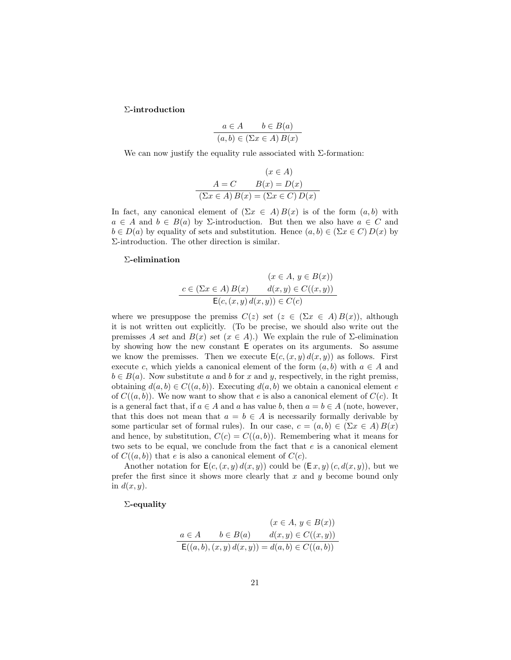### Σ-introduction

$$
a \in A \qquad b \in B(a)
$$

$$
(a, b) \in (\Sigma x \in A) B(x)
$$

We can now justify the equality rule associated with  $\Sigma$ -formation:

$$
(x \in A)
$$

$$
A = C \qquad B(x) = D(x)
$$

$$
(\Sigma x \in A) B(x) = (\Sigma x \in C) D(x)
$$

In fact, any canonical element of  $(\Sigma x \in A) B(x)$  is of the form  $(a, b)$  with  $a \in A$  and  $b \in B(a)$  by  $\Sigma$ -introduction. But then we also have  $a \in C$  and  $b \in D(a)$  by equality of sets and substitution. Hence  $(a, b) \in (\Sigma x \in C) D(x)$  by Σ-introduction. The other direction is similar.

### Σ-elimination

$$
(x \in A, y \in B(x))
$$
  

$$
c \in (\Sigma x \in A) B(x)
$$
  

$$
d(x, y) \in C((x, y))
$$
  

$$
E(c, (x, y) d(x, y)) \in C(c)
$$

where we presuppose the premiss  $C(z)$  set  $(z \in (\Sigma x \in A) B(x))$ , although it is not written out explicitly. (To be precise, we should also write out the premisses A set and  $B(x)$  set  $(x \in A)$ .) We explain the rule of  $\Sigma$ -elimination by showing how the new constant E operates on its arguments. So assume we know the premisses. Then we execute  $E(c,(x,y) d(x,y))$  as follows. First execute c, which yields a canonical element of the form  $(a, b)$  with  $a \in A$  and  $b \in B(a)$ . Now substitute a and b for x and y, respectively, in the right premiss, obtaining  $d(a, b) \in C((a, b))$ . Executing  $d(a, b)$  we obtain a canonical element e of  $C((a, b))$ . We now want to show that e is also a canonical element of  $C(c)$ . It is a general fact that, if  $a \in A$  and a has value b, then  $a = b \in A$  (note, however, that this does not mean that  $a = b \in A$  is necessarily formally derivable by some particular set of formal rules). In our case,  $c = (a, b) \in (\Sigma x \in A) B(x)$ and hence, by substitution,  $C(c) = C((a, b))$ . Remembering what it means for two sets to be equal, we conclude from the fact that  $e$  is a canonical element of  $C((a, b))$  that e is also a canonical element of  $C(c)$ .

Another notation for  $E(c,(x,y) d(x,y))$  could be  $(Ex, y) (c, d(x,y))$ , but we prefer the first since it shows more clearly that  $x$  and  $y$  become bound only in  $d(x, y)$ .

### Σ-equality

$$
(x \in A, y \in B(x))
$$
  
\n
$$
a \in A \qquad b \in B(a) \qquad d(x, y) \in C((x, y))
$$
  
\n
$$
E((a, b), (x, y) d(x, y)) = d(a, b) \in C((a, b))
$$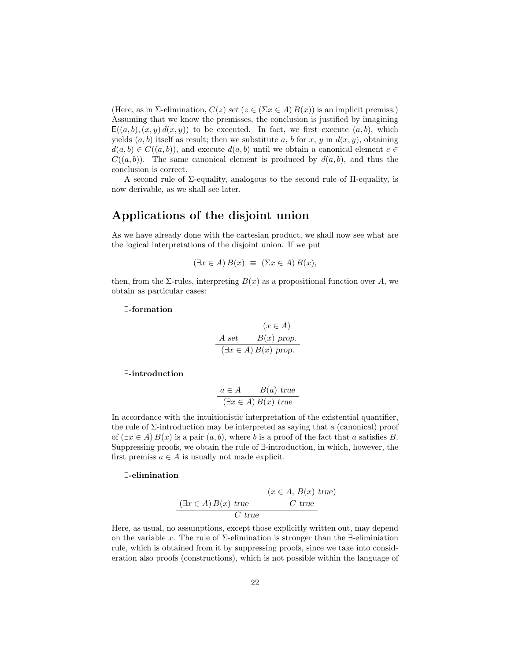(Here, as in  $\Sigma$ -elimination,  $C(z)$  set  $(z \in (\Sigma x \in A) B(x))$  is an implicit premiss.) Assuming that we know the premisses, the conclusion is justified by imagining  $E((a, b), (x, y) d(x, y))$  to be executed. In fact, we first execute  $(a, b)$ , which yields  $(a, b)$  itself as result; then we substitute a, b for x, y in  $d(x, y)$ , obtaining  $d(a, b) \in C((a, b))$ , and execute  $d(a, b)$  until we obtain a canonical element  $e \in$  $C((a, b))$ . The same canonical element is produced by  $d(a, b)$ , and thus the conclusion is correct.

A second rule of Σ-equality, analogous to the second rule of Π-equality, is now derivable, as we shall see later.

### Applications of the disjoint union

<span id="page-27-0"></span>As we have already done with the cartesian product, we shall now see what are the logical interpretations of the disjoint union. If we put

$$
(\exists x \in A) B(x) \equiv (\Sigma x \in A) B(x),
$$

then, from the Σ-rules, interpreting  $B(x)$  as a propositional function over A, we obtain as particular cases:

### ∃-formation

$$
(x \in A)
$$
  
*A set*  $B(x)$  prop.  
 $(\exists x \in A) B(x)$  prop.

### ∃-introduction

$$
a \in A \qquad B(a) \text{ true}
$$
  

$$
(\exists x \in A) B(x) \text{ true}
$$

In accordance with the intuitionistic interpretation of the existential quantifier, the rule of  $\Sigma$ -introduction may be interpreted as saying that a (canonical) proof of  $(\exists x \in A) B(x)$  is a pair  $(a, b)$ , where b is a proof of the fact that a satisfies B. Suppressing proofs, we obtain the rule of ∃-introduction, in which, however, the first premiss  $a \in A$  is usually not made explicit.

### ∃-elimination

$$
(x \in A, B(x) \text{ true})
$$
  

$$
\underbrace{( \exists x \in A) B(x) \text{ true}}_{C \text{ true}} \underbrace{(x \in A, B(x) \text{ true})}_{C \text{ true}}
$$

Here, as usual, no assumptions, except those explicitly written out, may depend on the variable x. The rule of  $\Sigma$ -elimination is stronger than the  $\exists$ -eliminiation rule, which is obtained from it by suppressing proofs, since we take into consideration also proofs (constructions), which is not possible within the language of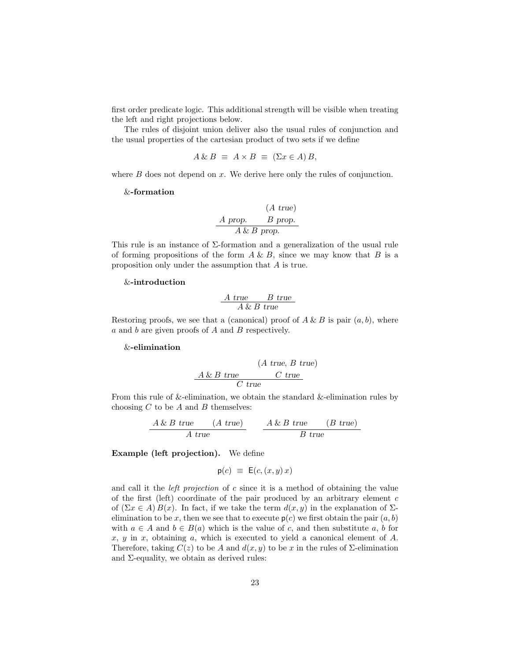first order predicate logic. This additional strength will be visible when treating the left and right projections below.

The rules of disjoint union deliver also the usual rules of conjunction and the usual properties of the cartesian product of two sets if we define

$$
A \& B \equiv A \times B \equiv (\Sigma x \in A) B,
$$

where  $B$  does not depend on  $x$ . We derive here only the rules of conjunction.

### &-formation

$$
\begin{array}{c}\n (A \text{ true}) \\
 \underline{A} \text{ prop.} \\
 \underline{B} \text{ prop.} \\
 \underline{A} \& \underline{B} \text{ prop.}\n \end{array}
$$

This rule is an instance of  $\Sigma$ -formation and a generalization of the usual rule of forming propositions of the form  $A \& B$ , since we may know that B is a proposition only under the assumption that A is true.

### &-introduction

$$
\begin{array}{c}\nA \; true \hspace{.25cm} B \; true \\
A \; \& \; B \; true\n\end{array}
$$

Restoring proofs, we see that a (canonical) proof of  $A \& B$  is pair  $(a, b)$ , where  $a$  and  $b$  are given proofs of  $A$  and  $B$  respectively.

### &-elimination

$$
\begin{array}{c}\n (A \text{ true}, B \text{ true}) \\
 \underline{A \& B \text{ true}} \\
 \underline{C \text{ true}} \\
 \end{array}
$$

From this rule of &-elimination, we obtain the standard &-elimination rules by choosing  $C$  to be  $A$  and  $B$  themselves:

$$
\frac{A \& B \; \text{true} \qquad (A \; \text{true})}{A \; \text{true}} \qquad \frac{A \& B \; \text{true} \qquad (B \; \text{true})}{B \; \text{true}}
$$

Example (left projection). We define

$$
p(c) \equiv E(c, (x, y) x)
$$

and call it the left projection of c since it is a method of obtaining the value of the first (left) coordinate of the pair produced by an arbitrary element  $c$ of  $(\Sigma x \in A) B(x)$ . In fact, if we take the term  $d(x, y)$  in the explanation of  $\Sigma$ elimination to be x, then we see that to execute  $p(c)$  we first obtain the pair  $(a, b)$ with  $a \in A$  and  $b \in B(a)$  which is the value of c, and then substitute a, b for  $x, y$  in  $x$ , obtaining  $a$ , which is executed to yield a canonical element of  $A$ . Therefore, taking  $C(z)$  to be A and  $d(x, y)$  to be x in the rules of  $\Sigma$ -elimination and  $\Sigma$ -equality, we obtain as derived rules: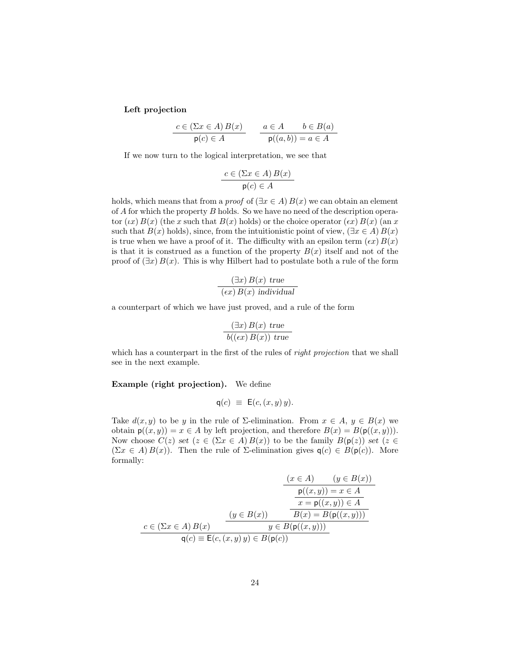### Left projection

$$
\frac{c \in (\Sigma x \in A) B(x)}{\mathsf{p}(c) \in A} \qquad \frac{a \in A \qquad b \in B(a)}{\mathsf{p}((a, b)) = a \in A}
$$

If we now turn to the logical interpretation, we see that

$$
c \in (\Sigma x \in A) B(x)
$$
  

$$
p(c) \in A
$$

holds, which means that from a *proof* of  $(\exists x \in A) B(x)$  we can obtain an element of A for which the property B holds. So we have no need of the description operator  $(\iota x) B(x)$  (the x such that  $B(x)$  holds) or the choice operator  $(\epsilon x) B(x)$  (an x such that  $B(x)$  holds), since, from the intuitionistic point of view,  $(\exists x \in A) B(x)$ is true when we have a proof of it. The difficulty with an epsilon term  $(\epsilon x) B(x)$ is that it is construed as a function of the property  $B(x)$  itself and not of the proof of  $(\exists x) B(x)$ . This is why Hilbert had to postulate both a rule of the form

$$
\frac{(\exists x) B(x) \text{ true}}{(\epsilon x) B(x) \text{ individual}}
$$

a counterpart of which we have just proved, and a rule of the form

$$
\frac{(\exists x) B(x) \text{ true}}{b((\epsilon x) B(x)) \text{ true}}
$$

which has a counterpart in the first of the rules of *right projection* that we shall see in the next example.

Example (right projection). We define

$$
\mathsf{q}(c) \ \equiv \ \mathsf{E}(c,(x,y)\,y).
$$

Take  $d(x, y)$  to be y in the rule of  $\Sigma$ -elimination. From  $x \in A$ ,  $y \in B(x)$  we obtain  $p((x, y)) = x \in A$  by left projection, and therefore  $B(x) = B(p((x, y))).$ Now choose  $C(z)$  set  $(z \in (\Sigma x \in A) B(x))$  to be the family  $B(p(z))$  set  $(z \in A)$  $(\Sigma x \in A) B(x)$ . Then the rule of  $\Sigma$ -elimination gives  $q(c) \in B(p(c))$ . More formally:

$$
\frac{(x \in A) \qquad (y \in B(x))}{\mathbf{p}((x, y)) = x \in A}
$$
\n
$$
\frac{\mathbf{p}((x, y)) = x \in A}{x = \mathbf{p}((x, y)) \in A}
$$
\n
$$
\frac{(y \in B(x)) \qquad \overline{B(x) = B(\mathbf{p}((x, y)))}}{y \in B(\mathbf{p}((x, y)))}
$$
\n
$$
\mathbf{q}(c) \equiv \mathbf{E}(c, (x, y) \mid y) \in B(\mathbf{p}(c))
$$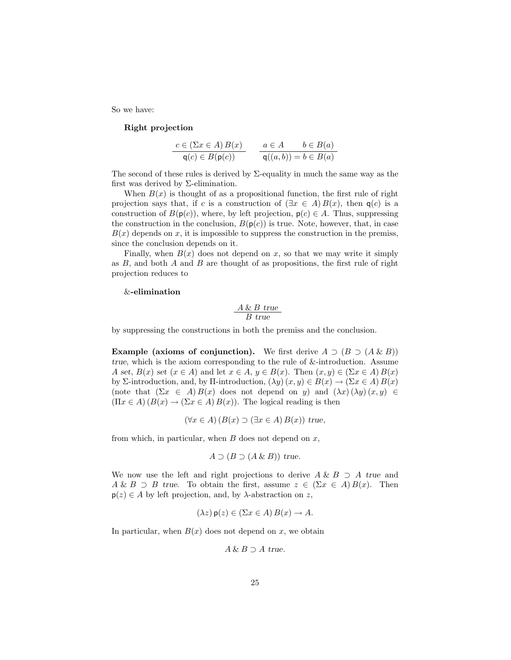So we have:

### Right projection

$$
\frac{c \in (\Sigma x \in A) B(x)}{\mathsf{q}(c) \in B(\mathsf{p}(c))} \qquad \frac{a \in A \qquad b \in B(a)}{\mathsf{q}((a, b)) = b \in B(a)}
$$

The second of these rules is derived by  $\Sigma$ -equality in much the same way as the first was derived by  $\Sigma$ -elimination.

When  $B(x)$  is thought of as a propositional function, the first rule of right projection says that, if c is a construction of  $(\exists x \in A) B(x)$ , then  $q(c)$  is a construction of  $B(p(c))$ , where, by left projection,  $p(c) \in A$ . Thus, suppressing the construction in the conclusion,  $B(p(c))$  is true. Note, however, that, in case  $B(x)$  depends on x, it is impossible to suppress the construction in the premiss, since the conclusion depends on it.

Finally, when  $B(x)$  does not depend on x, so that we may write it simply as  $B$ , and both  $A$  and  $B$  are thought of as propositions, the first rule of right projection reduces to

#### &-elimination

$$
\frac{A \& B \ true}{B \ true}
$$

by suppressing the constructions in both the premiss and the conclusion.

Example (axioms of conjunction). We first derive  $A \supset (B \supset (A \& B))$ true, which is the axiom corresponding to the rule of &-introduction. Assume A set,  $B(x)$  set  $(x \in A)$  and let  $x \in A$ ,  $y \in B(x)$ . Then  $(x, y) \in (\Sigma x \in A) B(x)$ by Σ-introduction, and, by Π-introduction,  $(\lambda y)(x, y) \in B(x) \to (\Sigma x \in A) B(x)$ (note that  $(\Sigma x \in A) B(x)$  does not depend on y) and  $(\lambda x) (\lambda y) (x, y) \in$  $(\Pi x \in A) (B(x) \to (\Sigma x \in A) B(x))$ . The logical reading is then

$$
(\forall x \in A) (B(x) \supset (\exists x \in A) B(x))
$$
 true,

from which, in particular, when  $B$  does not depend on  $x$ ,

$$
A \supset (B \supset (A \& B))
$$
 true.

We now use the left and right projections to derive  $A \& B \supset A$  true and A & B  $\supset$  B true. To obtain the first, assume  $z \in (\Sigma x \in A) B(x)$ . Then  $p(z) \in A$  by left projection, and, by  $\lambda$ -abstraction on z,

$$
(\lambda z)\mathsf{p}(z) \in (\Sigma x \in A) B(x) \to A.
$$

In particular, when  $B(x)$  does not depend on x, we obtain

$$
A \& B \supset A
$$
 true.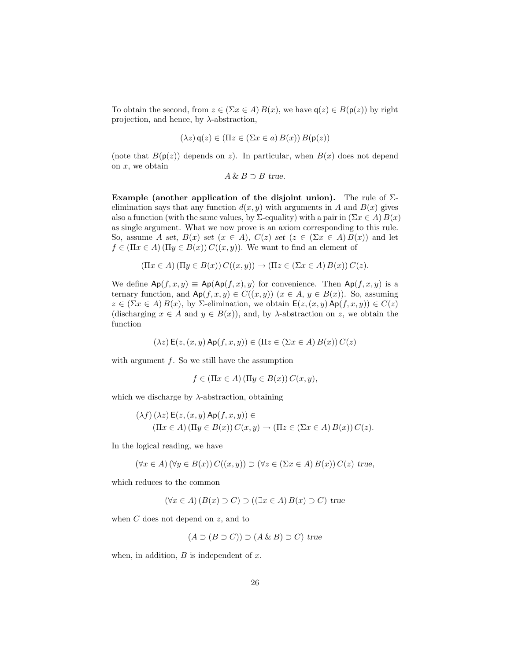To obtain the second, from  $z \in (\Sigma x \in A) B(x)$ , we have  $q(z) \in B(p(z))$  by right projection, and hence, by  $\lambda$ -abstraction,

$$
(\lambda z) \mathsf{q}(z) \in (\Pi z \in (\Sigma x \in a) B(x)) B(\mathsf{p}(z))
$$

(note that  $B(p(z))$  depends on z). In particular, when  $B(x)$  does not depend on  $x$ , we obtain

$$
A \& B \supset B
$$
 true.

Example (another application of the disjoint union). The rule of  $\Sigma$ elimination says that any function  $d(x, y)$  with arguments in A and  $B(x)$  gives also a function (with the same values, by  $\Sigma$ -equality) with a pair in  $(\Sigma x \in A) B(x)$ as single argument. What we now prove is an axiom corresponding to this rule. So, assume A set,  $B(x)$  set  $(x \in A)$ ,  $C(z)$  set  $(z \in (\Sigma x \in A)B(x))$  and let  $f \in (\Pi x \in A) (\Pi y \in B(x)) C((x, y))$ . We want to find an element of

$$
(\Pi x \in A) (\Pi y \in B(x)) C((x, y)) \to (\Pi z \in (\Sigma x \in A) B(x)) C(z).
$$

We define  $Ap(f, x, y) \equiv Ap(Ap(f, x), y)$  for convenience. Then  $Ap(f, x, y)$  is a ternary function, and  $Ap(f, x, y) \in C((x, y))$  ( $x \in A, y \in B(x)$ ). So, assuming  $z \in (\Sigma x \in A) B(x)$ , by  $\Sigma$ -elimination, we obtain  $\mathsf{E}(z,(x,y) \mathsf{Ap}(f,x,y)) \in C(z)$ (discharging  $x \in A$  and  $y \in B(x)$ ), and, by  $\lambda$ -abstraction on z, we obtain the function

$$
(\lambda z) \mathsf{E}(z, (x, y) \mathsf{Ap}(f, x, y)) \in (\Pi z \in (\Sigma x \in A) B(x)) C(z)
$$

with argument  $f$ . So we still have the assumption

$$
f \in (\Pi x \in A) (\Pi y \in B(x)) C(x, y),
$$

which we discharge by  $\lambda$ -abstraction, obtaining

$$
(\lambda f)(\lambda z) \mathsf{E}(z, (x, y) \mathsf{Ap}(f, x, y)) \in
$$
  

$$
(\Pi x \in A) (\Pi y \in B(x)) C(x, y) \to (\Pi z \in (\Sigma x \in A) B(x)) C(z).
$$

In the logical reading, we have

 $(\forall x \in A) (\forall y \in B(x)) C((x, y)) \supset (\forall z \in (\Sigma x \in A) B(x)) C(z)$  true,

which reduces to the common

$$
(\forall x \in A) (B(x) \supset C) \supset ((\exists x \in A) B(x) \supset C) \text{ true}
$$

when  $C$  does not depend on  $z$ , and to

$$
(A \supset (B \supset C)) \supset (A \& B) \supset C)
$$
 true

when, in addition,  $B$  is independent of  $x$ .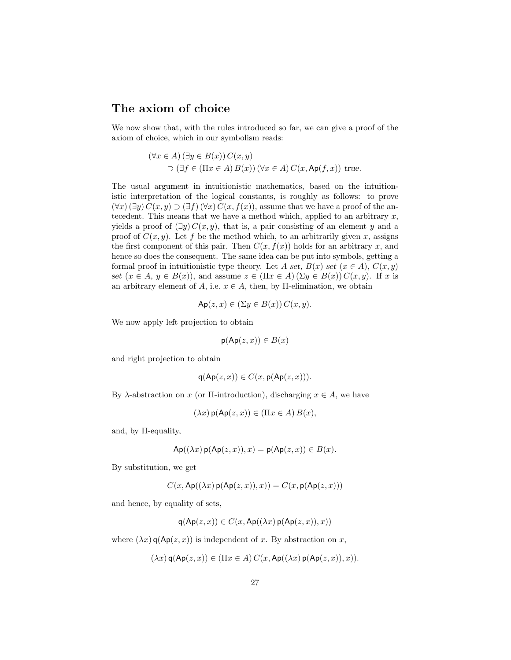### The axiom of choice

<span id="page-32-0"></span>We now show that, with the rules introduced so far, we can give a proof of the axiom of choice, which in our symbolism reads:

$$
(\forall x \in A) (\exists y \in B(x)) C(x, y)
$$
  
\n
$$
\supset (\exists f \in (\Pi x \in A) B(x)) (\forall x \in A) C(x, \text{Ap}(f, x)) \text{ true.}
$$

The usual argument in intuitionistic mathematics, based on the intuitionistic interpretation of the logical constants, is roughly as follows: to prove  $(\forall x)$   $(\exists y) C(x, y) \supset (\exists f) (\forall x) C(x, f(x))$ , assume that we have a proof of the antecedent. This means that we have a method which, applied to an arbitrary  $x$ , yields a proof of  $(\exists y) C(x, y)$ , that is, a pair consisting of an element y and a proof of  $C(x, y)$ . Let f be the method which, to an arbitrarily given x, assigns the first component of this pair. Then  $C(x, f(x))$  holds for an arbitrary x, and hence so does the consequent. The same idea can be put into symbols, getting a formal proof in intuitionistic type theory. Let A set,  $B(x)$  set  $(x \in A)$ ,  $C(x, y)$ set  $(x \in A, y \in B(x))$ , and assume  $z \in (\Pi x \in A)$   $(\Sigma y \in B(x))$   $C(x, y)$ . If x is an arbitrary element of A, i.e.  $x \in A$ , then, by  $\Pi$ -elimination, we obtain

$$
Ap(z, x) \in (\Sigma y \in B(x)) C(x, y).
$$

We now apply left projection to obtain

$$
p(\mathrm{Ap}(z, x)) \in B(x)
$$

and right projection to obtain

$$
q(Ap(z, x)) \in C(x, p(Ap(z, x))).
$$

By  $\lambda$ -abstraction on x (or  $\Pi$ -introduction), discharging  $x \in A$ , we have

$$
(\lambda x) \mathsf{p}(\mathsf{Ap}(z, x)) \in (\Pi x \in A) B(x),
$$

and, by Π-equality,

$$
Ap((\lambda x) p(Ap(z, x)), x) = p(Ap(z, x)) \in B(x).
$$

By substitution, we get

$$
C(x, \mathsf{Ap}((\lambda x) \mathsf{p}(\mathsf{Ap}(z, x)), x)) = C(x, \mathsf{p}(\mathsf{Ap}(z, x)))
$$

and hence, by equality of sets,

$$
q(Ap(z, x)) \in C(x, Ap((\lambda x) p(Ap(z, x)), x))
$$

where  $(\lambda x)$  q( $Ap(z, x)$ ) is independent of x. By abstraction on x,

$$
(\lambda x) q(\mathsf{Ap}(z, x)) \in (\Pi x \in A) C(x, \mathsf{Ap}((\lambda x) p(\mathsf{Ap}(z, x)), x)).
$$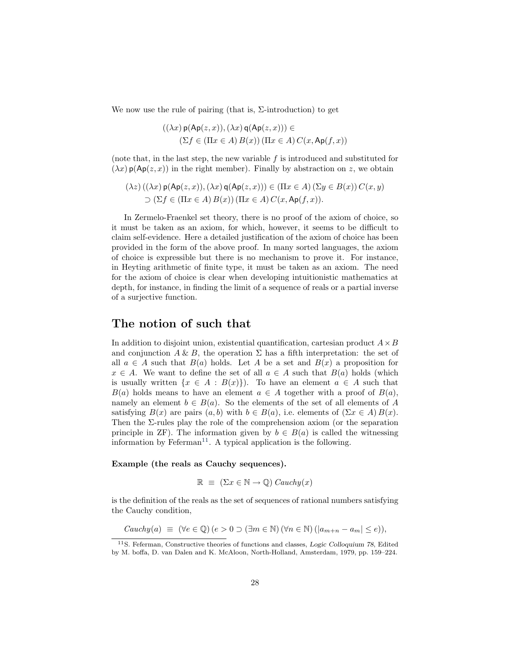We now use the rule of pairing (that is,  $\Sigma$ -introduction) to get

$$
((\lambda x) \mathsf{p}(\mathsf{Ap}(z, x)), (\lambda x) \mathsf{q}(\mathsf{Ap}(z, x))) \in
$$
  

$$
(\Sigma f \in (\Pi x \in A) B(x)) (\Pi x \in A) C(x, \mathsf{Ap}(f, x))
$$

(note that, in the last step, the new variable  $f$  is introduced and substituted for  $(\lambda x)$  p(Ap(z, x)) in the right member). Finally by abstraction on z, we obtain

$$
(\lambda z) ((\lambda x) p(Ap(z, x)), (\lambda x) q(Ap(z, x))) \in (\Pi x \in A) (\Sigma y \in B(x)) C(x, y)
$$
  

$$
\supset (\Sigma f \in (\Pi x \in A) B(x)) (\Pi x \in A) C(x, \text{Ap}(f, x)).
$$

In Zermelo-Fraenkel set theory, there is no proof of the axiom of choice, so it must be taken as an axiom, for which, however, it seems to be difficult to claim self-evidence. Here a detailed justification of the axiom of choice has been provided in the form of the above proof. In many sorted languages, the axiom of choice is expressible but there is no mechanism to prove it. For instance, in Heyting arithmetic of finite type, it must be taken as an axiom. The need for the axiom of choice is clear when developing intuitionistic mathematics at depth, for instance, in finding the limit of a sequence of reals or a partial inverse of a surjective function.

### The notion of such that

<span id="page-33-0"></span>In addition to disjoint union, existential quantification, cartesian product  $A \times B$ and conjunction  $A \& B$ , the operation  $\Sigma$  has a fifth interpretation: the set of all  $a \in A$  such that  $B(a)$  holds. Let A be a set and  $B(x)$  a proposition for  $x \in A$ . We want to define the set of all  $a \in A$  such that  $B(a)$  holds (which is usually written  $\{x \in A : B(x)\}\)$ . To have an element  $a \in A$  such that  $B(a)$  holds means to have an element  $a \in A$  together with a proof of  $B(a)$ , namely an element  $b \in B(a)$ . So the elements of the set of all elements of A satisfying  $B(x)$  are pairs  $(a, b)$  with  $b \in B(a)$ , i.e. elements of  $(\Sigma x \in A) B(x)$ . Then the  $\Sigma$ -rules play the role of the comprehension axiom (or the separation principle in ZF). The information given by  $b \in B(a)$  is called the witnessing information by Feferman<sup>[11](#page-33-1)</sup>. A typical application is the following.

### Example (the reals as Cauchy sequences).

$$
\mathbb{R} \equiv (\Sigma x \in \mathbb{N} \to \mathbb{Q}) \text{ Cauchy}(x)
$$

is the definition of the reals as the set of sequences of rational numbers satisfying the Cauchy condition,

 $Cauchy(a) \equiv (\forall e \in \mathbb{Q}) (e > 0 \supset (\exists m \in \mathbb{N}) (\forall n \in \mathbb{N}) (|a_{m+n} - a_m| \leq e)),$ 

<span id="page-33-1"></span><sup>11</sup>S. Feferman, Constructive theories of functions and classes, Logic Colloquium 78, Edited by M. boffa, D. van Dalen and K. McAloon, North-Holland, Amsterdam, 1979, pp. 159–224.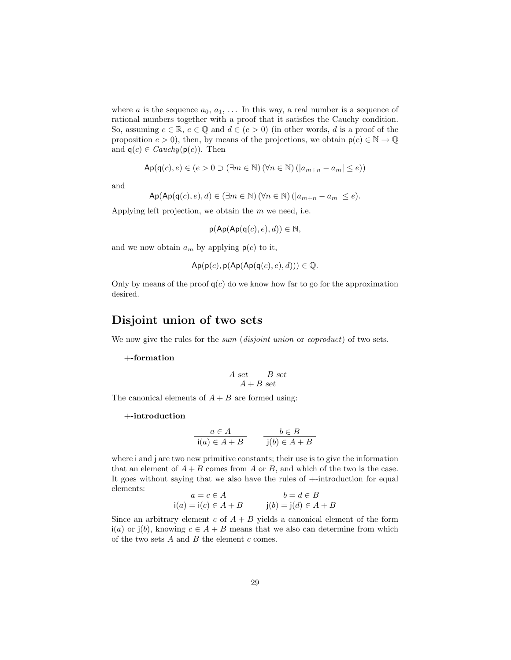where a is the sequence  $a_0, a_1, \ldots$  In this way, a real number is a sequence of rational numbers together with a proof that it satisfies the Cauchy condition. So, assuming  $c \in \mathbb{R}$ ,  $e \in \mathbb{Q}$  and  $d \in (e > 0)$  (in other words, d is a proof of the proposition  $e > 0$ , then, by means of the projections, we obtain  $p(c) \in \mathbb{N} \to \mathbb{Q}$ and  $q(c) \in Cauchy(p(c))$ . Then

$$
Ap(q(c), e) \in (e > 0 \supset (\exists m \in \mathbb{N}) (\forall n \in \mathbb{N}) (|a_{m+n} - a_m| \le e))
$$

and

$$
Ap(Ap(q(c), e), d) \in (\exists m \in \mathbb{N}) \, (\forall n \in \mathbb{N}) \, (|a_{m+n} - a_m| \le e).
$$

Applying left projection, we obtain the  $m$  we need, i.e.

$$
p(Ap(Ap(q(c), e), d)) \in \mathbb{N},
$$

and we now obtain  $a_m$  by applying  $p(c)$  to it,

$$
Ap(p(c), p(Ap(Ap(q(c), e), d))) \in \mathbb{Q}.
$$

Only by means of the proof  $q(c)$  do we know how far to go for the approximation desired.

### Disjoint union of two sets

<span id="page-34-0"></span>We now give the rules for the sum *(disjoint union or coproduct)* of two sets.

### +-formation

$$
\frac{A \, \, \text{set} \qquad B \, \, \text{set}}{A + B \, \, \text{set}}
$$

The canonical elements of  $A + B$  are formed using:

### +-introduction

$$
\frac{a \in A}{\mathsf{i}(a) \in A + B} \qquad \frac{b \in B}{\mathsf{j}(b) \in A + B}
$$

where i and j are two new primitive constants; their use is to give the information that an element of  $A + B$  comes from A or B, and which of the two is the case. It goes without saying that we also have the rules of  $+$ -introduction for equal elements:

$$
\frac{a = c \in A}{i(a) = i(c) \in A + B}
$$
\n
$$
\frac{b = d \in B}{j(b) = j(d) \in A + B}
$$

Since an arbitrary element c of  $A + B$  yields a canonical element of the form  $i(a)$  or  $j(b)$ , knowing  $c \in A + B$  means that we also can determine from which of the two sets  $A$  and  $B$  the element  $c$  comes.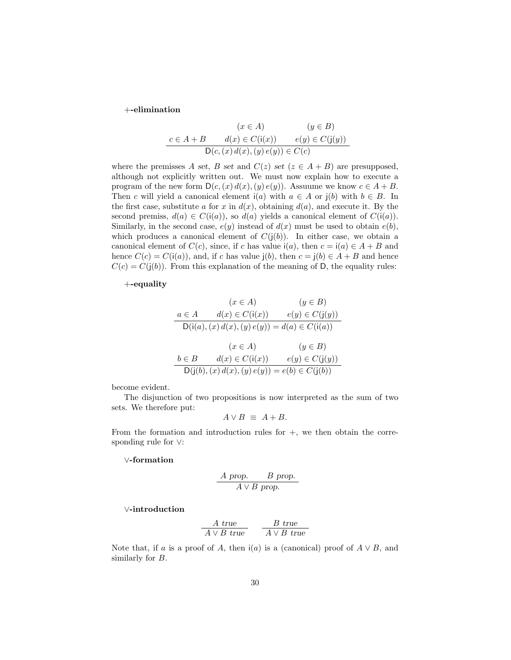+-elimination

$$
(x \in A) \qquad (y \in B)
$$

$$
c \in A + B \qquad d(x) \in C(i(x)) \qquad e(y) \in C(j(y))
$$

$$
D(c, (x) d(x), (y) e(y)) \in C(c)
$$

where the premisses A set, B set and  $C(z)$  set  $(z \in A + B)$  are presupposed, although not explicitly written out. We must now explain how to execute a program of the new form  $D(c, (x) d(x), (y) e(y))$ . Assuume we know  $c \in A + B$ . Then c will yield a canonical element i(a) with  $a \in A$  or j(b) with  $b \in B$ . In the first case, substitute a for x in  $d(x)$ , obtaining  $d(a)$ , and execute it. By the second premiss,  $d(a) \in C(i(a))$ , so  $d(a)$  yields a canonical element of  $C(i(a))$ . Similarly, in the second case,  $e(y)$  instead of  $d(x)$  must be used to obtain  $e(b)$ , which produces a canonical element of  $C(j(b))$ . In either case, we obtain a canonical element of  $C(c)$ , since, if c has value i(a), then  $c = i(a) \in A + B$  and hence  $C(c) = C(i(a))$ , and, if c has value j(b), then  $c = j(b) \in A + B$  and hence  $C(c) = C(j(b))$ . From this explanation of the meaning of D, the equality rules:

### +-equality

$$
(x \in A) \qquad (y \in B)
$$

$$
\underline{a \in A} \qquad \underline{d(x) \in C(i(x))} \qquad e(y) \in C(j(y))}
$$

$$
\underline{D(i(a), (x) d(x), (y) e(y))} = d(a) \in C(i(a))
$$

$$
(x \in A) \qquad (y \in B)
$$

$$
\underline{b \in B} \qquad \underline{d(x) \in C(i(x))} \qquad e(y) \in C(j(y))}
$$

$$
\underline{D(j(b), (x) d(x), (y) e(y))} = e(b) \in C(j(b))
$$

become evident.

The disjunction of two propositions is now interpreted as the sum of two sets. We therefore put:

$$
A \vee B \equiv A + B.
$$

From the formation and introduction rules for  $+$ , we then obtain the corresponding rule for ∨:

### ∨-formation

A prop. *B* prop. 
$$
A \vee B
$$
 prop.

∨-introduction

$$
\frac{A \text{ true}}{A \vee B \text{ true}} \qquad \frac{B \text{ true}}{A \vee B \text{ true}}
$$

Note that, if a is a proof of A, then  $i(a)$  is a (canonical) proof of  $A \vee B$ , and similarly for B.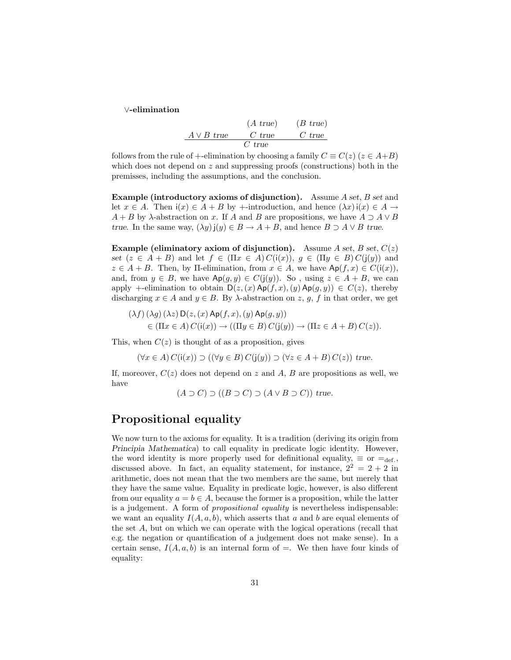∨-elimination

$$
\begin{array}{cc}\n(A \text{ true}) & (B \text{ true}) \\
\hline\nA \lor B \text{ true} & C \text{ true} \\
\hline\nC \text{ true} & C \text{ true}\n\end{array}
$$

follows from the rule of +-elimination by choosing a family  $C \equiv C(z)$  ( $z \in A+B$ ) which does not depend on  $z$  and suppressing proofs (constructions) both in the premisses, including the assumptions, and the conclusion.

**Example (introductory axioms of disjunction).** Assume  $A$  set,  $B$  set and let  $x \in A$ . Then  $i(x) \in A + B$  by +-introduction, and hence  $(\lambda x) i(x) \in A \rightarrow$  $A + B$  by  $\lambda$ -abstraction on x. If A and B are propositions, we have  $A \supset A \vee B$ true. In the same way,  $(\lambda y)(y) \in B \to A + B$ , and hence  $B \supset A \vee B$  true.

Example (eliminatory axiom of disjunction). Assume A set, B set,  $C(z)$ set  $(z \in A + B)$  and let  $f \in (\Pi x \in A) C(i(x)), g \in (\Pi y \in B) C(i(y))$  and  $z \in A + B$ . Then, by II-elimination, from  $x \in A$ , we have  $Ap(f, x) \in C(i(x))$ , and, from  $y \in B$ , we have  $Ap(g, y) \in C(j(y))$ . So, using  $z \in A + B$ , we can apply +-elimination to obtain  $D(z,(x)Ap(f,x),(y)Ap(g,y)) \in C(z)$ , thereby discharging  $x \in A$  and  $y \in B$ . By  $\lambda$ -abstraction on z, g, f in that order, we get

$$
(\lambda f) (\lambda g) (\lambda z) D(z, (x) Ap(f, x), (y) Ap(g, y))
$$
  
\n
$$
\in (\Pi x \in A) C(i(x)) \to ((\Pi y \in B) C(j(y)) \to (\Pi z \in A + B) C(z)).
$$

This, when  $C(z)$  is thought of as a proposition, gives

 $(\forall x \in A) C(i(x)) \supset ((\forall y \in B) C(i(y)) \supset (\forall z \in A + B) C(z))$  true.

If, moreover,  $C(z)$  does not depend on z and A, B are propositions as well, we have

 $(A \supset C) \supset ((B \supset C) \supset (A \vee B \supset C))$  true.

### Propositional equality

<span id="page-36-0"></span>We now turn to the axioms for equality. It is a tradition (deriving its origin from Principia Mathematica) to call equality in predicate logic identity. However, the word identity is more properly used for definitional equality,  $\equiv$  or  $=_{def}$ , discussed above. In fact, an equality statement, for instance,  $2^2 = 2 + 2$  in arithmetic, does not mean that the two members are the same, but merely that they have the same value. Equality in predicate logic, however, is also different from our equality  $a = b \in A$ , because the former is a proposition, while the latter is a judgement. A form of propositional equality is nevertheless indispensable: we want an equality  $I(A, a, b)$ , which asserts that a and b are equal elements of the set A, but on which we can operate with the logical operations (recall that e.g. the negation or quantification of a judgement does not make sense). In a certain sense,  $I(A, a, b)$  is an internal form of  $=$ . We then have four kinds of equality: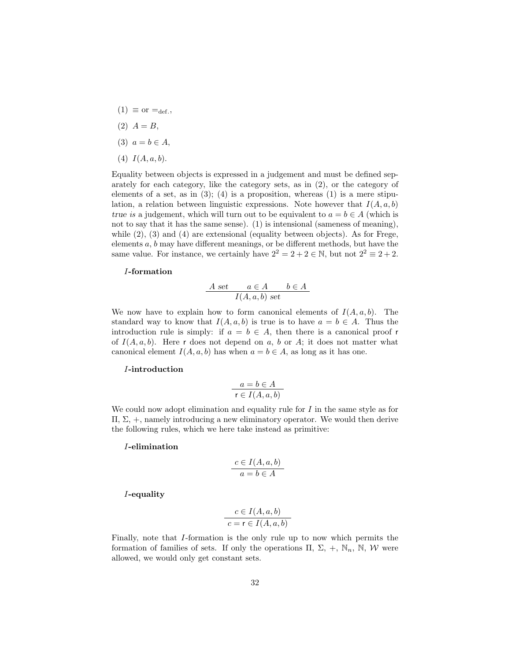- $(1) \equiv$  or  $=$ <sub>def.</sub>,
- $(2)$   $A = B$ ,
- (3)  $a = b \in A$ ,
- (4)  $I(A, a, b)$ .

Equality between objects is expressed in a judgement and must be defined separately for each category, like the category sets, as in (2), or the category of elements of a set, as in  $(3)$ ;  $(4)$  is a proposition, whereas  $(1)$  is a mere stipulation, a relation between linguistic expressions. Note however that  $I(A, a, b)$ true is a judgement, which will turn out to be equivalent to  $a = b \in A$  (which is not to say that it has the same sense). (1) is intensional (sameness of meaning), while (2), (3) and (4) are extensional (equality between objects). As for Frege, elements a, b may have different meanings, or be different methods, but have the same value. For instance, we certainly have  $2^2 = 2 + 2 \in \mathbb{N}$ , but not  $2^2 \equiv 2 + 2$ .

### I-formation

$$
\begin{array}{c}\nA \text{ set } \quad a \in A \quad b \in A \\
\hline\nI(A, a, b) \text{ set}\n\end{array}
$$

We now have to explain how to form canonical elements of  $I(A, a, b)$ . The standard way to know that  $I(A, a, b)$  is true is to have  $a = b \in A$ . Thus the introduction rule is simply: if  $a = b \in A$ , then there is a canonical proof r of  $I(A, a, b)$ . Here r does not depend on a, b or A; it does not matter what canonical element  $I(A, a, b)$  has when  $a = b \in A$ , as long as it has one.

#### I-introduction

$$
a = b \in A
$$
  

$$
r \in I(A, a, b)
$$

We could now adopt elimination and equality rule for  $I$  in the same style as for  $\Pi, \Sigma, +$ , namely introducing a new eliminatory operator. We would then derive the following rules, which we here take instead as primitive:

### I-elimination

$$
c \in I(A, a, b)
$$

$$
a = b \in A
$$

I-equality

$$
c \in I(A, a, b)
$$

$$
c = r \in I(A, a, b)
$$

Finally, note that I-formation is the only rule up to now which permits the formation of families of sets. If only the operations  $\Pi$ ,  $\Sigma$ , +,  $\mathbb{N}_n$ ,  $\mathbb{N}$ ,  $\mathcal{W}$  were allowed, we would only get constant sets.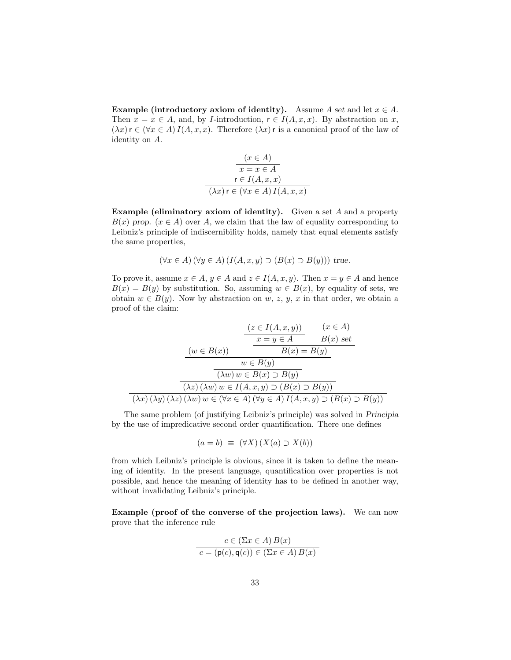Example (introductory axiom of identity). Assume A set and let  $x \in A$ . Then  $x = x \in A$ , and, by *I*-introduction,  $r \in I(A, x, x)$ . By abstraction on x,  $(\lambda x)$ r ∈  $(\forall x \in A) I(A, x, x)$ . Therefore  $(\lambda x)$ r is a canonical proof of the law of identity on A.

$$
(x \in A)
$$

$$
\frac{x = x \in A}{r \in I(A, x, x)}
$$

$$
( \lambda x ) r \in (\forall x \in A) I(A, x, x)
$$

**Example (eliminatory axiom of identity).** Given a set  $A$  and a property  $B(x)$  prop.  $(x \in A)$  over A, we claim that the law of equality corresponding to Leibniz's principle of indiscernibility holds, namely that equal elements satisfy the same properties,

$$
(\forall x \in A) (\forall y \in A) (I(A, x, y) \supset (B(x) \supset B(y))) \text{ true.}
$$

To prove it, assume  $x \in A$ ,  $y \in A$  and  $z \in I(A, x, y)$ . Then  $x = y \in A$  and hence  $B(x) = B(y)$  by substitution. So, assuming  $w \in B(x)$ , by equality of sets, we obtain  $w \in B(y)$ . Now by abstraction on w, z, y, x in that order, we obtain a proof of the claim:

$$
\frac{(z \in I(A, x, y)) \qquad (x \in A)
$$
\n
$$
\underline{w \in B(x)} \qquad B(x) \text{ set}
$$
\n
$$
\underline{w \in B(y)} \qquad \underline{w \in B(y)}
$$
\n
$$
\underline{w \in B(y)}
$$
\n
$$
\underline{(\lambda x) (\lambda w) w \in B(x) \supset B(y)}
$$
\n
$$
\underline{(\lambda z) (\lambda w) w \in I(A, x, y) \supset (B(x) \supset B(y))}
$$
\n
$$
\underline{(\lambda x) (\lambda y) (\lambda z) (\lambda w) w \in (\forall x \in A) (\forall y \in A) I(A, x, y) \supset (B(x) \supset B(y))}
$$

The same problem (of justifying Leibniz's principle) was solved in Principia by the use of impredicative second order quantification. There one defines

$$
(a = b) \equiv (\forall X) (X(a) \supset X(b))
$$

from which Leibniz's principle is obvious, since it is taken to define the meaning of identity. In the present language, quantification over properties is not possible, and hence the meaning of identity has to be defined in another way, without invalidating Leibniz's principle.

<span id="page-38-0"></span>Example (proof of the converse of the projection laws). We can now prove that the inference rule

$$
c \in (\Sigma x \in A) B(x)
$$

$$
c = (\mathsf{p}(c), \mathsf{q}(c)) \in (\Sigma x \in A) B(x)
$$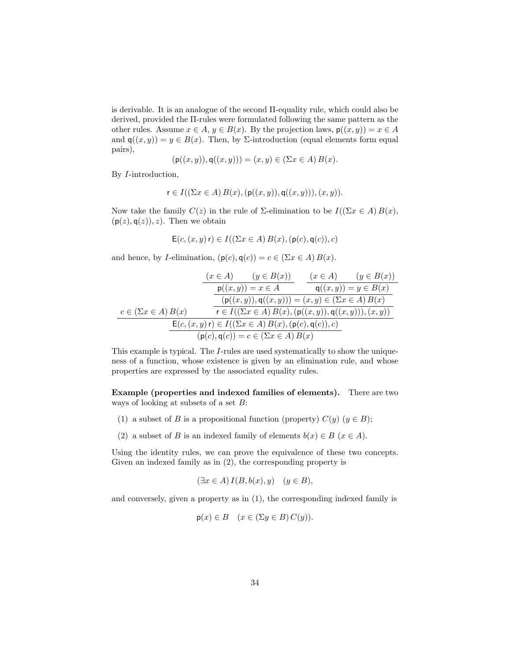is derivable. It is an analogue of the second Π-equality rule, which could also be derived, provided the Π-rules were formulated following the same pattern as the other rules. Assume  $x \in A$ ,  $y \in B(x)$ . By the projection laws,  $p((x, y)) = x \in A$ and  $q((x, y)) = y \in B(x)$ . Then, by  $\Sigma$ -introduction (equal elements form equal pairs),

$$
(\mathsf{p}((x,y)),\mathsf{q}((x,y)))=(x,y)\in (\Sigma x\in A) B(x).
$$

By I-introduction,

$$
r \in I((\Sigma x \in A) B(x), (\mathsf{p}((x, y)), \mathsf{q}((x, y))), (x, y)).
$$

Now take the family  $C(z)$  in the rule of  $\Sigma$ -elimination to be  $I((\Sigma x \in A) B(x),$  $(p(z), q(z)), z$ . Then we obtain

$$
\mathsf{E}(c,(x,y)\,\mathsf{r})\in I((\Sigma x\in A)\,B(x),(\mathsf{p}(c),\mathsf{q}(c)),c)
$$

and hence, by *I*-elimination,  $(p(c), q(c)) = c \in (\Sigma x \in A) B(x)$ .

$$
\frac{(x \in A) \qquad (y \in B(x))}{\mathbf{p}((x, y)) = x \in A} \qquad \frac{(x \in A) \qquad (y \in B(x))}{\mathbf{q}((x, y)) = y \in B(x)}
$$
\n
$$
\frac{\mathbf{p}((x, y)) = x \in A \qquad \mathbf{q}((x, y)) = y \in B(x)}{\mathbf{p}((x, y)), \mathbf{q}((x, y))) = (x, y) \in (\Sigma x \in A) B(x)}
$$
\n
$$
\frac{c \in (\Sigma x \in A) B(x) \qquad \mathbf{r} \in I((\Sigma x \in A) B(x), (\mathbf{p}((x, y)), \mathbf{q}((x, y))), (x, y))}{\mathbf{p}(c), \mathbf{q}(c)) = c \in (\Sigma x \in A) B(x)}
$$

This example is typical. The I-rules are used systematically to show the uniqueness of a function, whose existence is given by an elimination rule, and whose properties are expressed by the associated equality rules.

Example (properties and indexed families of elements). There are two ways of looking at subsets of a set B:

- (1) a subset of B is a propositional function (property)  $C(y)$  ( $y \in B$ );
- (2) a subset of B is an indexed family of elements  $b(x) \in B$   $(x \in A)$ .

Using the identity rules, we can prove the equivalence of these two concepts. Given an indexed family as in (2), the corresponding property is

$$
(\exists x \in A) I(B, b(x), y) \quad (y \in B),
$$

and conversely, given a property as in (1), the corresponding indexed family is

$$
\mathsf{p}(x) \in B \quad (x \in (\Sigma y \in B) C(y)).
$$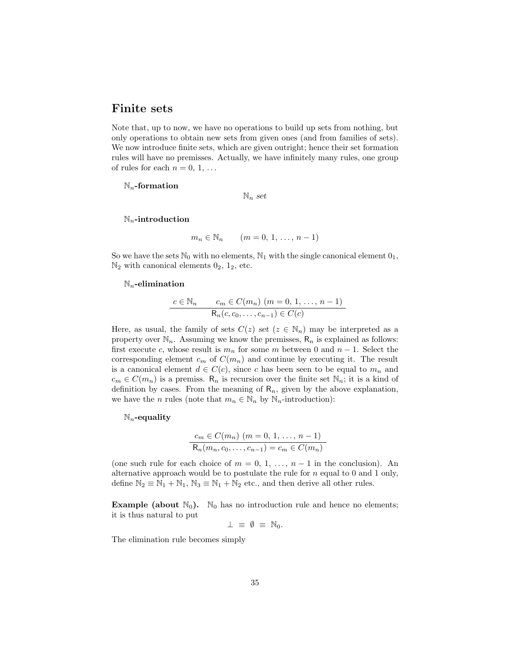### Finite sets

<span id="page-40-0"></span>Note that, up to now, we have no operations to build up sets from nothing, but only operations to obtain new sets from given ones (and from families of sets). We now introduce finite sets, which are given outright; hence their set formation rules will have no premisses. Actually, we have infinitely many rules, one group of rules for each  $n = 0, 1, \ldots$ 

 $\mathbb{N}_n$ -formation

 $\mathbb{N}_n$  set

 $\mathbb{N}_n$ -introduction

$$
m_n \in \mathbb{N}_n \qquad (m = 0, 1, \ldots, n - 1)
$$

So we have the sets  $\mathbb{N}_0$  with no elements,  $\mathbb{N}_1$  with the single canonical element  $0_1$ ,  $\mathbb{N}_2$  with canonical elements  $0_2$ ,  $1_2$ , etc.

### $\mathbb{N}_n$ -elimination

$$
\frac{c \in \mathbb{N}_n \qquad c_m \in C(m_n) \ (m = 0, 1, \dots, n - 1)}{\mathsf{R}_n(c, c_0, \dots, c_{n-1}) \in C(c)}
$$

Here, as usual, the family of sets  $C(z)$  set  $(z \in \mathbb{N}_n)$  may be interpreted as a property over  $\mathbb{N}_n$ . Assuming we know the premisses,  $\mathsf{R}_n$  is explained as follows: first execute c, whose result is  $m_n$  for some m between 0 and  $n-1$ . Select the corresponding element  $c_m$  of  $C(m_n)$  and continue by executing it. The result is a canonical element  $d \in C(c)$ , since c has been seen to be equal to  $m_n$  and  $c_m \in C(m_n)$  is a premiss.  $\mathsf{R}_n$  is recursion over the finite set  $\mathbb{N}_n$ ; it is a kind of definition by cases. From the meaning of  $R_n$ , given by the above explanation, we have the *n* rules (note that  $m_n \in \mathbb{N}_n$  by  $\mathbb{N}_n$ -introduction):

#### $\mathbb{N}_n$ -equality

$$
c_m \in C(m_n) \ (m = 0, 1, \ldots, n-1)
$$

$$
R_n(m_n, c_0, \ldots, c_{n-1}) = c_m \in C(m_n)
$$

(one such rule for each choice of  $m = 0, 1, \ldots, n-1$  in the conclusion). An alternative approach would be to postulate the rule for  $n$  equal to 0 and 1 only, define  $\mathbb{N}_2 \equiv \mathbb{N}_1 + \mathbb{N}_1$ ,  $\mathbb{N}_3 \equiv \mathbb{N}_1 + \mathbb{N}_2$  etc., and then derive all other rules.

**Example (about**  $\mathbb{N}_0$ ).  $\mathbb{N}_0$  has no introduction rule and hence no elements; it is thus natural to put

$$
\perp \equiv \emptyset \equiv \mathbb{N}_0.
$$

The elimination rule becomes simply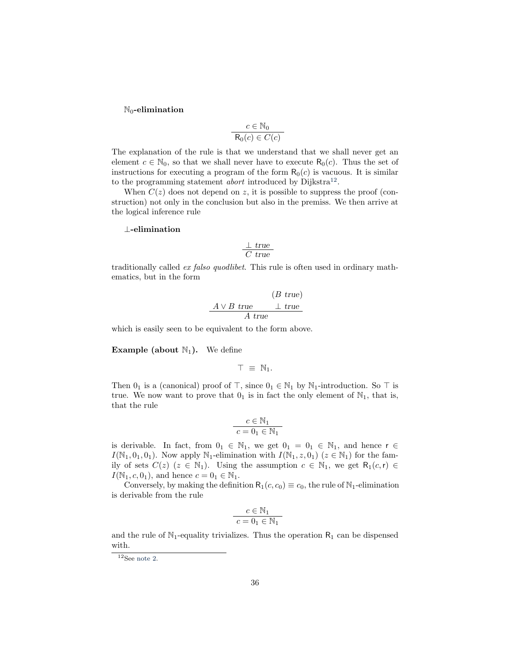$\mathbb{N}_0$ -elimination

$$
\frac{c \in \mathbb{N}_0}{\mathsf{R}_0(c) \in C(c)}
$$

The explanation of the rule is that we understand that we shall never get an element  $c \in \mathbb{N}_0$ , so that we shall never have to execute  $\mathsf{R}_0(c)$ . Thus the set of instructions for executing a program of the form  $R_0(c)$  is vacuous. It is similar to the programming statement *abort* introduced by  $Dijkstra^{12}$  $Dijkstra^{12}$  $Dijkstra^{12}$ .

When  $C(z)$  does not depend on z, it is possible to suppress the proof (construction) not only in the conclusion but also in the premiss. We then arrive at the logical inference rule

#### ⊥-elimination

$$
\frac{\perp \, \mathit{true}}{C \, \mathit{true}}
$$

traditionally called *ex falso quodlibet*. This rule is often used in ordinary mathematics, but in the form

$$
\begin{array}{c}\n(B \text{ true}) \\
\hline\nA \lor B \text{ true} \\
\hline\nA \text{ true}\n\end{array}
$$

which is easily seen to be equivalent to the form above.

**Example (about**  $\mathbb{N}_1$ **).** We define

$$
\top \equiv \mathbb{N}_1.
$$

Then  $0_1$  is a (canonical) proof of  $\top$ , since  $0_1 \in \mathbb{N}_1$  by  $\mathbb{N}_1$ -introduction. So  $\top$  is true. We now want to prove that  $0<sub>1</sub>$  is in fact the only element of  $\mathbb{N}<sub>1</sub>$ , that is, that the rule

$$
\cfrac{c \in \mathbb{N}_1}{c = 0_1 \in \mathbb{N}_1}
$$

is derivable. In fact, from  $0_1 \in \mathbb{N}_1$ , we get  $0_1 = 0_1 \in \mathbb{N}_1$ , and hence  $r \in$  $I(\mathbb{N}_1, 0_1, 0_1)$ . Now apply  $\mathbb{N}_1$ -elimination with  $I(\mathbb{N}_1, z, 0_1)$  ( $z \in \mathbb{N}_1$ ) for the family of sets  $C(z)$  ( $z \in \mathbb{N}_1$ ). Using the assumption  $c \in \mathbb{N}_1$ , we get  $R_1(c, r) \in$  $I(\mathbb{N}_1, c, 0_1)$ , and hence  $c = 0_1 \in \mathbb{N}_1$ .

Conversely, by making the definition  $R_1(c, c_0) \equiv c_0$ , the rule of  $\mathbb{N}_1$ -elimination is derivable from the rule

$$
\frac{c \in \mathbb{N}_1}{c = 0_1 \in \mathbb{N}_1}
$$

and the rule of  $\mathbb{N}_1$ -equality trivializes. Thus the operation  $\mathsf{R}_1$  can be dispensed with.

<span id="page-41-0"></span> $12$  See [note 2.](#page-7-2)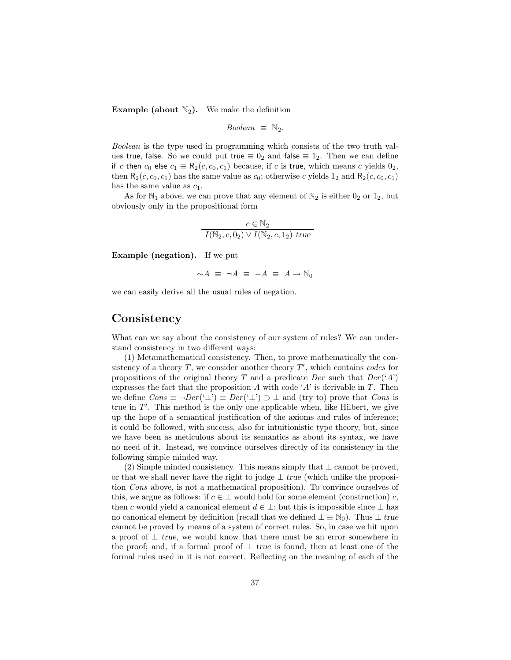**Example (about**  $\mathbb{N}_2$ ). We make the definition

$$
\text{Boolean } \equiv \mathbb{N}_2.
$$

Boolean is the type used in programming which consists of the two truth values true, false. So we could put true  $\equiv 0_2$  and false  $\equiv 1_2$ . Then we can define if c then  $c_0$  else  $c_1 \equiv R_2(c, c_0, c_1)$  because, if c is true, which means c yields  $0_2$ , then  $R_2(c, c_0, c_1)$  has the same value as  $c_0$ ; otherwise c yields  $1_2$  and  $R_2(c, c_0, c_1)$ has the same value as  $c_1$ .

As for  $\mathbb{N}_1$  above, we can prove that any element of  $\mathbb{N}_2$  is either  $0_2$  or  $1_2$ , but obviously only in the propositional form

$$
\frac{c \in \mathbb{N}_2}{I(\mathbb{N}_2, c, 0_2) \vee I(\mathbb{N}_2, c, 1_2) \text{ true}}
$$

Example (negation). If we put

$$
\sim A \ \equiv \ \neg A \ \equiv \ -A \ \equiv \ A \rightarrow \mathbb{N}_0
$$

we can easily derive all the usual rules of negation.

### **Consistency**

<span id="page-42-0"></span>What can we say about the consistency of our system of rules? We can understand consistency in two different ways:

(1) Metamathematical consistency. Then, to prove mathematically the consistency of a theory  $T$ , we consider another theory  $T'$ , which contains codes for propositions of the original theory T and a predicate Der such that  $Der'(\mathcal{A})$ expresses the fact that the proposition A with code 'A' is derivable in  $T$ . Then we define  $Cons \equiv \neg Der(\bot) \equiv Der(\bot) \supset \bot$  and (try to) prove that Cons is true in  $T'$ . This method is the only one applicable when, like Hilbert, we give up the hope of a semantical justification of the axioms and rules of inference; it could be followed, with success, also for intuitionistic type theory, but, since we have been as meticulous about its semantics as about its syntax, we have no need of it. Instead, we convince ourselves directly of its consistency in the following simple minded way.

(2) Simple minded consistency. This means simply that  $\perp$  cannot be proved, or that we shall never have the right to judge  $\perp$  true (which unlike the proposition Cons above, is not a mathematical proposition). To convince ourselves of this, we argue as follows: if  $c \in \perp$  would hold for some element (construction) c, then c would yield a canonical element  $d \in \perp$ ; but this is impossible since  $\perp$  has no canonical element by definition (recall that we defined  $\bot \equiv \mathbb{N}_0$ ). Thus  $\bot$  true cannot be proved by means of a system of correct rules. So, in case we hit upon a proof of ⊥ true, we would know that there must be an error somewhere in the proof; and, if a formal proof of  $\perp$  true is found, then at least one of the formal rules used in it is not correct. Reflecting on the meaning of each of the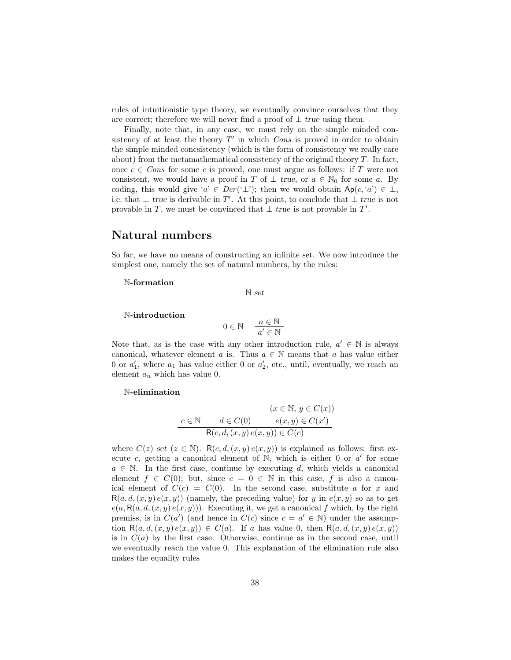rules of intuitionistic type theory, we eventually convince ourselves that they are correct; therefore we will never find a proof of  $\perp$  true using them.

Finally, note that, in any case, we must rely on the simple minded consistency of at least the theory  $T'$  in which Cons is proved in order to obtain the simple minded concsistency (which is the form of consistency we really care about) from the metamathematical consistency of the original theory  $T$ . In fact, once  $c \in Cons$  for some c is proved, one must argue as follows: if T were not consistent, we would have a proof in T of  $\perp$  true, or  $a \in \mathbb{N}_0$  for some a. By coding, this would give 'a'  $\in$  Der(' $\perp$ '); then we would obtain Ap(c, 'a')  $\in \perp$ , i.e. that  $\perp$  true is derivable in T'. At this point, to conclude that  $\perp$  true is not provable in T, we must be convinced that  $\perp$  true is not provable in T'.

### Natural numbers

<span id="page-43-0"></span>So far, we have no means of constructing an infinite set. We now introduce the simplest one, namely the set of natural numbers, by the rules:

### N-formation

N set

#### N-introduction

$$
0 \in \mathbb{N} \quad \begin{array}{c} a \in \mathbb{N} \\ a' \in \mathbb{N} \end{array}
$$

Note that, as is the case with any other introduction rule,  $a' \in \mathbb{N}$  is always canonical, whatever element a is. Thus  $a \in \mathbb{N}$  means that a has value either 0 or  $a'_1$ , where  $a_1$  has value either 0 or  $a'_2$ , etc., until, eventually, we reach an element  $a_n$  which has value 0.

### N-elimination

$$
(x \in \mathbb{N}, y \in C(x))
$$

$$
c \in \mathbb{N} \qquad d \in C(0) \qquad e(x, y) \in C(x')
$$

$$
\mathsf{R}(c, d, (x, y) e(x, y)) \in C(c)
$$

where  $C(z)$  set  $(z \in \mathbb{N})$ .  $\mathsf{R}(c, d, (x, y) e(x, y))$  is explained as follows: first execute c, getting a canonical element of  $N$ , which is either 0 or  $a'$  for some  $a \in \mathbb{N}$ . In the first case, continue by executing d, which yields a canonical element  $f \in C(0)$ ; but, since  $c = 0 \in \mathbb{N}$  in this case, f is also a canonical element of  $C(c) = C(0)$ . In the second case, substitute a for x and  $R(a, d, (x, y) e(x, y))$  (namely, the preceding value) for y in  $e(x, y)$  so as to get  $e(a, R(a, d, (x, y) e(x, y)))$ . Executing it, we get a canonical f which, by the right premiss, is in  $C(a')$  (and hence in  $C(c)$  since  $c = a' \in \mathbb{N}$ ) under the assumption  $R(a, d, (x, y) e(x, y)) \in C(a)$ . If a has value 0, then  $R(a, d, (x, y) e(x, y))$ is in  $C(a)$  by the first case. Otherwise, continue as in the second case, until we eventually reach the value 0. This explanation of the elimination rule also makes the equality rules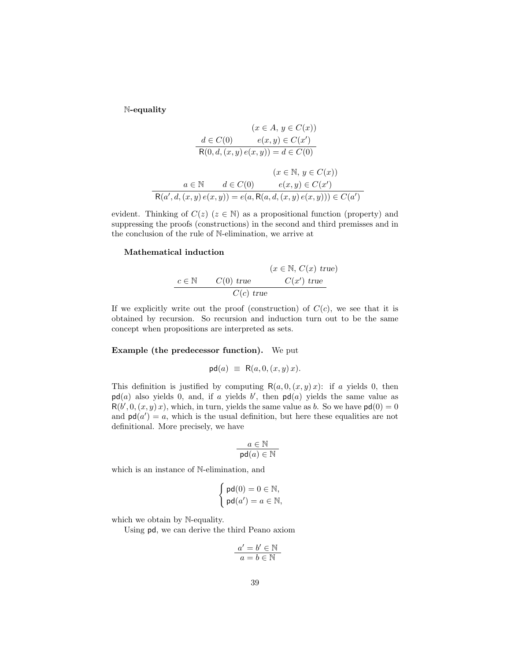N-equality

$$
(x \in A, y \in C(x))
$$

$$
\frac{d \in C(0) \qquad e(x, y) \in C(x')}{\mathsf{R}(0, d, (x, y) e(x, y)) = d \in C(0)}
$$

$$
(x \in \mathbb{N}, y \in C(x))
$$

$$
a \in \mathbb{N} \qquad d \in C(0) \qquad e(x, y) \in C(x')
$$

$$
\mathsf{R}(a', d, (x, y) e(x, y)) = e(a, \mathsf{R}(a, d, (x, y) e(x, y))) \in C(a')
$$

evident. Thinking of  $C(z)$  ( $z \in \mathbb{N}$ ) as a propositional function (property) and suppressing the proofs (constructions) in the second and third premisses and in the conclusion of the rule of N-elimination, we arrive at

### Mathematical induction

$$
(x \in \mathbb{N}, C(x) \text{ true})
$$
  

$$
c \in \mathbb{N} \qquad C(0) \text{ true} \qquad C(x') \text{ true}
$$
  

$$
C(c) \text{ true}
$$

If we explicitly write out the proof (construction) of  $C(c)$ , we see that it is obtained by recursion. So recursion and induction turn out to be the same concept when propositions are interpreted as sets.

### Example (the predecessor function). We put

$$
\mathsf{pd}(a) \ \equiv \ \mathsf{R}(a,0,(x,y)\,x).
$$

This definition is justified by computing  $R(a, 0, (x, y) x)$ : if a yields 0, then  $pd(a)$  also yields 0, and, if a yields b', then  $pd(a)$  yields the same value as  $R(b', 0, (x, y),$  which, in turn, yields the same value as b. So we have  $\mathsf{pd}(0) = 0$ and  $\mathsf{pd}(a') = a$ , which is the usual definition, but here these equalities are not definitional. More precisely, we have

$$
a \in \mathbb{N}
$$
  
pd(a)  $\in \mathbb{N}$ 

which is an instance of N-elimination, and

$$
\begin{cases}\n\mathsf{pd}(0) = 0 \in \mathbb{N}, \\
\mathsf{pd}(a') = a \in \mathbb{N},\n\end{cases}
$$

which we obtain by N-equality.

Using pd, we can derive the third Peano axiom

$$
\frac{a'=b'\in\mathbb{N}}{a=b\in\mathbb{N}}
$$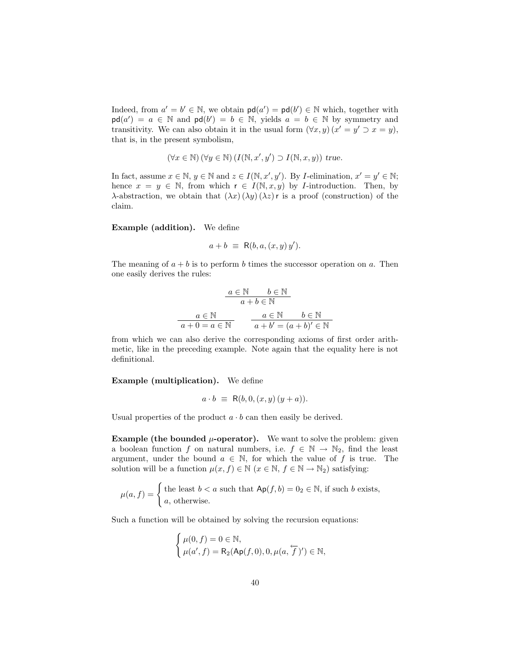Indeed, from  $a' = b' \in \mathbb{N}$ , we obtain  $\mathsf{pd}(a') = \mathsf{pd}(b') \in \mathbb{N}$  which, together with  $\mathsf{pd}(a') = a \in \mathbb{N}$  and  $\mathsf{pd}(b') = b \in \mathbb{N}$ , yields  $a = b \in \mathbb{N}$  by symmetry and transitivity. We can also obtain it in the usual form  $(\forall x, y) (x' = y' \supset x = y)$ , that is, in the present symbolism,

$$
(\forall x \in \mathbb{N}) (\forall y \in \mathbb{N}) (I(\mathbb{N}, x', y') \supset I(\mathbb{N}, x, y)) \text{ true.}
$$

In fact, assume  $x \in \mathbb{N}$ ,  $y \in \mathbb{N}$  and  $z \in I(\mathbb{N}, x', y')$ . By *I*-elimination,  $x' = y' \in \mathbb{N}$ ; hence  $x = y \in \mathbb{N}$ , from which  $r \in I(\mathbb{N}, x, y)$  by *I*-introduction. Then, by λ-abstraction, we obtain that  $(λx)(λy)(λz)$ r is a proof (construction) of the claim.

Example (addition). We define

$$
a + b \equiv R(b, a, (x, y) y').
$$

The meaning of  $a + b$  is to perform b times the successor operation on a. Then one easily derives the rules:

$$
\begin{array}{c}\n a \in \mathbb{N} \quad b \in \mathbb{N} \\
 a + b \in \mathbb{N}\n\end{array}
$$
\n
$$
\begin{array}{c}\n a \in \mathbb{N} \quad a + b \in \mathbb{N} \\
 a + 0 = a \in \mathbb{N} \quad a + b' = (a + b)' \in \mathbb{N}\n\end{array}
$$

from which we can also derive the corresponding axioms of first order arithmetic, like in the preceding example. Note again that the equality here is not definitional.

### Example (multiplication). We define

$$
a \cdot b \equiv \mathsf{R}(b, 0, (x, y) (y + a)).
$$

Usual properties of the product  $a \cdot b$  can then easily be derived.

**Example (the bounded**  $\mu$ **-operator).** We want to solve the problem: given a boolean function f on natural numbers, i.e.  $f \in \mathbb{N} \to \mathbb{N}_2$ , find the least argument, under the bound  $a \in \mathbb{N}$ , for which the value of f is true. The solution will be a function  $\mu(x, f) \in \mathbb{N}$   $(x \in \mathbb{N}, f \in \mathbb{N} \to \mathbb{N}_2)$  satisfying:

$$
\mu(a, f) = \begin{cases} \text{the least } b < a \text{ such that } \mathsf{Ap}(f, b) = 0_2 \in \mathbb{N}, \text{ if such } b \text{ exists,} \\ a, \text{ otherwise.} \end{cases}
$$

Such a function will be obtained by solving the recursion equations:

$$
\begin{cases} \mu(0, f) = 0 \in \mathbb{N}, \\ \mu(a', f) = \mathsf{R}_2(\mathsf{Ap}(f, 0), 0, \mu(a, \overleftarrow{f})') \in \mathbb{N}, \end{cases}
$$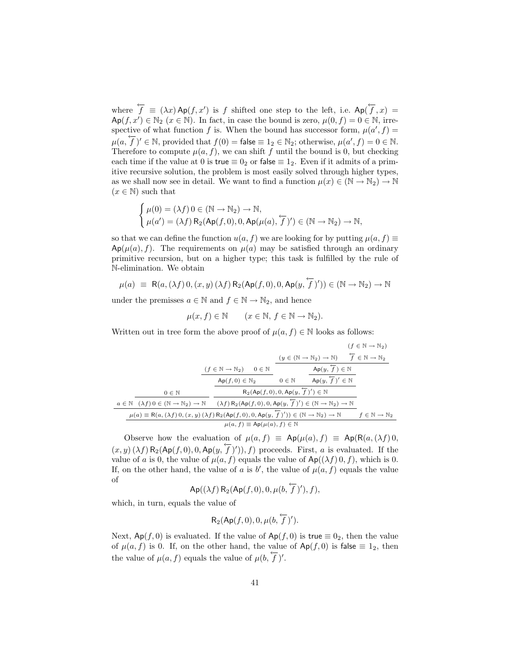where  $\overleftarrow{f}$  =  $(\lambda x)$  Ap $(f, x')$  is f shifted one step to the left, i.e. Ap $(\overleftarrow{f}, x)$  =  $\mathsf{Ap}(f, x') \in \mathbb{N}_2$   $(x \in \mathbb{N})$ . In fact, in case the bound is zero,  $\mu(0, f) = 0 \in \mathbb{N}$ , irrespective of what function f is. When the bound has successor form,  $\mu(a', f) =$  $\mu(a, f)' \in \mathbb{N}$ , provided that  $f(0) = \text{false} \equiv 1_2 \in \mathbb{N}_2$ ; otherwise,  $\mu(a', f) = 0 \in \mathbb{N}$ . Therefore to compute  $\mu(a, f)$ , we can shift f until the bound is 0, but checking each time if the value at 0 is true  $\equiv 0_2$  or false  $\equiv 1_2$ . Even if it admits of a primitive recursive solution, the problem is most easily solved through higher types, as we shall now see in detail. We want to find a function  $\mu(x) \in (\mathbb{N} \to \mathbb{N}_2) \to \mathbb{N}$  $(x \in \mathbb{N})$  such that

$$
\begin{cases} \mu(0) = (\lambda f) 0 \in (\mathbb{N} \to \mathbb{N}_2) \to \mathbb{N}, \\ \mu(a') = (\lambda f) R_2(\mathsf{Ap}(f, 0), 0, \mathsf{Ap}(\mu(a), \mathcal{F})') \in (\mathbb{N} \to \mathbb{N}_2) \to \mathbb{N}, \end{cases}
$$

so that we can define the function  $u(a, f)$  we are looking for by putting  $\mu(a, f) \equiv$  $Ap(\mu(a), f)$ . The requirements on  $\mu(a)$  may be satisfied through an ordinary primitive recursion, but on a higher type; this task is fulfilled by the rule of N-elimination. We obtain

 $\mu(a) \equiv R(a, (\lambda f) 0, (x, y) (\lambda f) R_2(\mathsf{Ap}(f, 0), 0, \mathsf{Ap}(y, \mathcal{T}))) \in (\mathbb{N} \to \mathbb{N}_2) \to \mathbb{N}$ 

under the premisses  $a \in \mathbb{N}$  and  $f \in \mathbb{N} \to \mathbb{N}_2$ , and hence

$$
\mu(x, f) \in \mathbb{N} \qquad (x \in \mathbb{N}, f \in \mathbb{N} \to \mathbb{N}_2).
$$

Written out in tree form the above proof of  $\mu(a, f) \in \mathbb{N}$  looks as follows:

$$
(f \in \mathbb{N} \to \mathbb{N}_2)
$$
\n
$$
(f \in \mathbb{N} \to \mathbb{N}_2)
$$
\n
$$
\frac{(f \in \mathbb{N} \to \mathbb{N}_2) \quad 0 \in \mathbb{N}}{\Delta p(y, \overline{f}) \in \mathbb{N}}
$$
\n
$$
\frac{0 \in \mathbb{N}}{\Delta p(f, 0) \in \mathbb{N}_2} \quad 0 \in \mathbb{N}
$$
\n
$$
\frac{0 \in \mathbb{N}}{\Delta p(f, 0) \in \mathbb{N}_2} \quad \frac{0 \in \mathbb{N}}{\Delta p(y, \overline{f})' \in \mathbb{N}}
$$
\n
$$
\frac{0 \in \mathbb{N}}{\Delta f}
$$
\n
$$
\frac{0 \in \mathbb{N}}{\Delta f}
$$
\n
$$
\frac{0 \in \mathbb{N}}{\Delta f}
$$
\n
$$
\frac{0 \in \mathbb{N}}{\Delta f}
$$
\n
$$
\frac{0 \in \mathbb{N}}{\Delta f}
$$
\n
$$
\frac{0 \in \mathbb{N}}{\Delta f}
$$
\n
$$
\frac{0 \in \mathbb{N}}{\Delta f}
$$
\n
$$
\frac{0 \in \mathbb{N}}{\Delta f}
$$
\n
$$
\frac{0 \in \mathbb{N}}{\Delta f}
$$
\n
$$
\frac{0 \in \mathbb{N}}{\Delta f}
$$
\n
$$
\frac{0 \in \mathbb{N}}{\Delta f}
$$
\n
$$
\frac{0 \in \mathbb{N}}{\Delta f}
$$
\n
$$
\frac{0 \in \mathbb{N}}{\Delta f}
$$
\n
$$
\frac{0 \in \mathbb{N}}{\Delta f}
$$
\n
$$
\frac{0 \in \mathbb{N}}{\Delta f}
$$
\n
$$
\frac{0 \in \mathbb{N}}{\Delta f}
$$
\n
$$
\frac{0 \in \mathbb{N}}{\Delta f}
$$
\n
$$
\frac{0 \in \mathbb{N}}{\Delta f}
$$
\n
$$
\frac{0 \in \mathbb{N}}{\Delta f}
$$
\n
$$
\frac{0 \in \mathbb{N}}{\Delta f}
$$
\n
$$
\frac{0 \in \mathbb{N}}{\Delta f}
$$
\n
$$
\frac{0 \in \mathbb{N}}{\Delta f}
$$

Observe how the evaluation of  $\mu(a, f) \equiv Ap(\mu(a), f) \equiv Ap(R(a, (\lambda f))$ , (x, y) (\x) R<sub>2</sub>(Ap(f, 0), 0, Ap(y, f')')), f) proceeds. First, a is evaluated. If the value of a is 0, the value of  $\mu(a, f)$  equals the value of  $Ap((\lambda f) 0, f)$ , which is 0. If, on the other hand, the value of a is b', the value of  $\mu(a, f)$  equals the value of

$$
\mathsf{Ap}((\lambda f)\,\mathsf{R}_2(\mathsf{Ap}(f,0),0,\mu(b,\overleftarrow{f})'),f),
$$

which, in turn, equals the value of

$$
\mathsf{R}_2(\mathsf{Ap}(f,0),0,\mu(b,\overleftarrow{f})').
$$

Next,  $Ap(f, 0)$  is evaluated. If the value of  $Ap(f, 0)$  is true  $\equiv 0_2$ , then the value of  $\mu(a, f)$  is 0. If, on the other hand, the value of  $Ap(f, 0)$  is false  $\equiv 1_2$ , then the value of  $\mu(a, f)$  equals the value of  $\mu(b, \overline{f})'$ .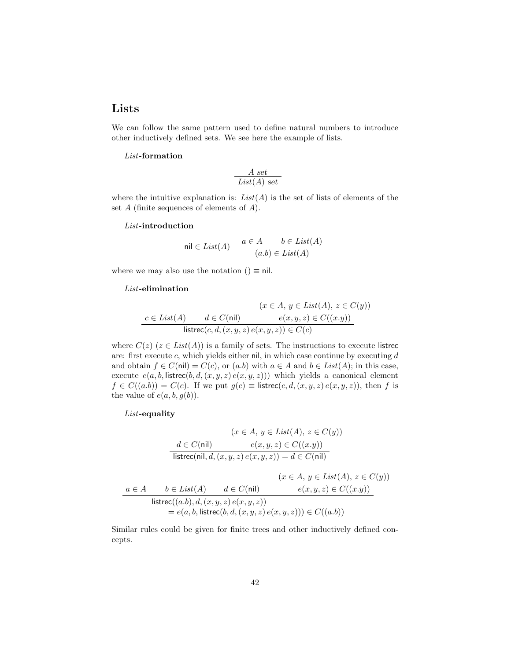### Lists

<span id="page-47-0"></span>We can follow the same pattern used to define natural numbers to introduce other inductively defined sets. We see here the example of lists.

### List-formation

$$
\frac{A \, \, \text{set}}{List(A) \, \, \text{set}}
$$

where the intuitive explanation is:  $List(A)$  is the set of lists of elements of the set  $A$  (finite sequences of elements of  $A$ ).

### List-introduction

$$
\mathsf{nil} \in \operatorname{List}(A) \quad \begin{array}{c} a \in A \qquad b \in \operatorname{List}(A) \\ \hline (a.b) \in \operatorname{List}(A) \end{array}
$$

where we may also use the notation ()  $\equiv$  nil.

### List-elimination

$$
(x \in A, y \in List(A), z \in C(y))
$$

$$
\underbrace{c \in List(A) \qquad d \in C(\text{nil}) \qquad e(x, y, z) \in C((x, y))}_{\text{listrec}(c, d, (x, y, z) \in (x, y, z)) \in C(c)}
$$

where  $C(z)$  ( $z \in List(A)$ ) is a family of sets. The instructions to execute listrec are: first execute  $c$ , which yields either nil, in which case continue by executing  $d$ and obtain  $f \in C(\text{nil}) = C(c)$ , or  $(a.b)$  with  $a \in A$  and  $b \in List(A)$ ; in this case, execute  $e(a, b, \text{listrec}(b, d, (x, y, z) e(x, y, z)))$  which yields a canonical element  $f \in C((a.b)) = C(c)$ . If we put  $g(c) \equiv$  listrec $(c, d, (x, y, z) e(x, y, z))$ , then f is the value of  $e(a, b, g(b))$ .

### List-equality

$$
(x \in A, y \in List(A), z \in C(y))
$$

$$
\frac{d \in C(\text{nil}) \qquad e(x, y, z) \in C((x, y))}{\text{listrec}(\text{nil}, d, (x, y, z) e(x, y, z)) = d \in C(\text{nil})}
$$

$$
(x \in A, y \in List(A), z \in C(y))
$$

$$
\frac{a \in A \qquad b \in List(A) \qquad d \in C(\text{nil}) \qquad e(x, y, z) \in C((x, y))}{\text{listrec}((a, b), d, (x, y, z) e(x, y, z))}
$$

$$
= e(a, b, \text{listrec}(b, d, (x, y, z) e(x, y, z))) \in C((a, b))
$$

Similar rules could be given for finite trees and other inductively defined concepts.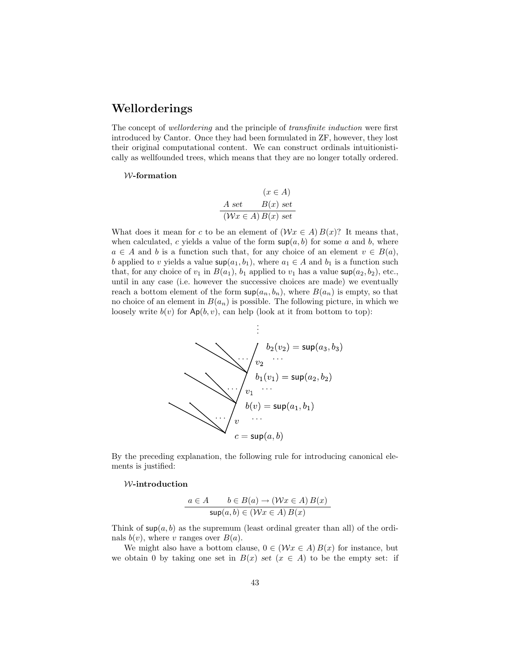### Wellorderings

<span id="page-48-0"></span>The concept of wellordering and the principle of transfinite induction were first introduced by Cantor. Once they had been formulated in ZF, however, they lost their original computational content. We can construct ordinals intuitionistically as wellfounded trees, which means that they are no longer totally ordered.

### W-formation

$$
(x \in A)
$$
  
*A set*  $B(x)$  set  

$$
(Wx \in A) B(x)
$$
 set

What does it mean for c to be an element of  $(\mathcal{W}x \in A) B(x)$ ? It means that, when calculated, c yields a value of the form  $\text{sup}(a, b)$  for some a and b, where  $a \in A$  and b is a function such that, for any choice of an element  $v \in B(a)$ , b applied to v yields a value  $\mathsf{sup}(a_1, b_1)$ , where  $a_1 \in A$  and  $b_1$  is a function such that, for any choice of  $v_1$  in  $B(a_1)$ ,  $b_1$  applied to  $v_1$  has a value  $\sup(a_2, b_2)$ , etc., until in any case (i.e. however the successive choices are made) we eventually reach a bottom element of the form  $\sup(a_n, b_n)$ , where  $B(a_n)$  is empty, so that no choice of an element in  $B(a_n)$  is possible. The following picture, in which we loosely write  $b(v)$  for  $Ap(b, v)$ , can help (look at it from bottom to top):



By the preceding explanation, the following rule for introducing canonical elements is justified:

### W-introduction

$$
a \in A \qquad b \in B(a) \to (\mathcal{W}x \in A) B(x)
$$
  
 
$$
\sup(a, b) \in (\mathcal{W}x \in A) B(x)
$$

Think of  $\text{sup}(a, b)$  as the supremum (least ordinal greater than all) of the ordinals  $b(v)$ , where v ranges over  $B(a)$ .

We might also have a bottom clause,  $0 \in (\mathcal{W}x \in A) B(x)$  for instance, but we obtain 0 by taking one set in  $B(x)$  set  $(x \in A)$  to be the empty set: if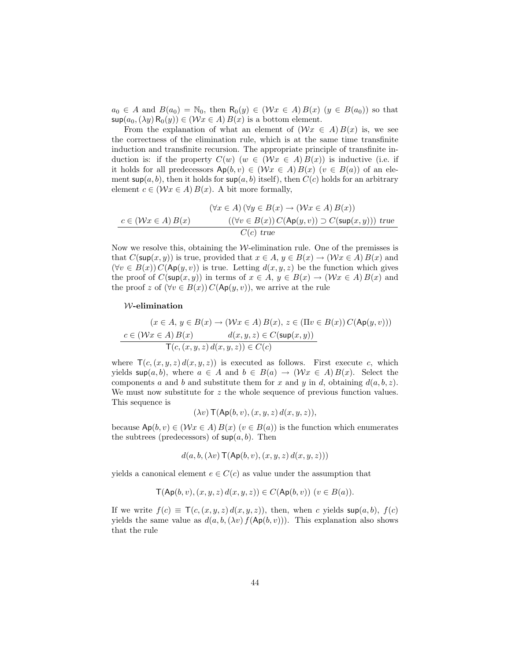$a_0 \in A$  and  $B(a_0) = \mathbb{N}_0$ , then  $\mathsf{R}_0(y) \in (\mathcal{W}x \in A)B(x)$   $(y \in B(a_0))$  so that  $\sup(a_0,(\lambda y) R_0(y)) \in (\mathcal{W}x \in A) B(x)$  is a bottom element.

From the explanation of what an element of  $(\mathcal{W}x \in A)B(x)$  is, we see the correctness of the elimination rule, which is at the same time transfinite induction and transfinite recursion. The appropriate principle of transfinite induction is: if the property  $C(w)$  ( $w \in (Wx \in A)B(x)$ ) is inductive (i.e. if it holds for all predecessors  $Ap(b, v) \in (Wx \in A) B(x)$   $(v \in B(a))$  of an element  $\textsf{sup}(a, b)$ , then it holds for  $\textsf{sup}(a, b)$  itself), then  $C(c)$  holds for an arbitrary element  $c \in (\mathcal{W}x \in A) B(x)$ . A bit more formally,

$$
(\forall x \in A) (\forall y \in B(x) \to (\mathcal{W}x \in A) B(x))
$$
  

$$
c \in (\mathcal{W}x \in A) B(x) \qquad ((\forall v \in B(x)) C(\mathsf{Ap}(y, v)) \supset C(\mathsf{sup}(x, y))) \text{ true}
$$
  

$$
C(c) \text{ true}
$$

Now we resolve this, obtaining the  $W$ -elimination rule. One of the premisses is that  $C(\sup(x, y))$  is true, provided that  $x \in A$ ,  $y \in B(x) \to (\mathcal{W}x \in A) B(x)$  and  $(\forall v \in B(x)) C(\mathsf{Ap}(y, v))$  is true. Letting  $d(x, y, z)$  be the function which gives the proof of  $C(\sup(x, y))$  in terms of  $x \in A$ ,  $y \in B(x) \to (Wx \in A) B(x)$  and the proof z of  $(\forall v \in B(x)) C(\text{Ap}(y, v))$ , we arrive at the rule

#### W-elimination

$$
(x \in A, y \in B(x) \to (\mathcal{W}x \in A) B(x), z \in (\Pi v \in B(x)) C(\mathsf{Ap}(y, v)))
$$

$$
\underbrace{c \in (\mathcal{W}x \in A) B(x) \qquad d(x, y, z) \in C(\mathsf{sup}(x, y))}_{\mathsf{T}(c, (x, y, z) d(x, y, z)) \in C(c)}.
$$

where  $\mathsf{T}(c,(x,y,z) d(x,y,z))$  is executed as follows. First execute c, which yields  $\textsf{sup}(a, b)$ , where  $a \in A$  and  $b \in B(a) \to (\mathcal{W}x \in A)B(x)$ . Select the components a and b and substitute them for x and y in d, obtaining  $d(a, b, z)$ . We must now substitute for  $z$  the whole sequence of previous function values. This sequence is

$$
(\lambda v)\mathsf{T}(\mathsf{Ap}(b,v),(x,y,z)\,d(x,y,z)),
$$

because  $Ap(b, v) \in (Wx \in A) B(x)$   $(v \in B(a))$  is the function which enumerates the subtrees (predecessors) of  $\mathsf{sup}(a, b)$ . Then

$$
d(a, b, (\lambda v) \mathsf{T}(\mathsf{Ap}(b, v), (x, y, z) d(x, y, z)))
$$

yields a canonical element  $e \in C(c)$  as value under the assumption that

$$
\mathsf{T}(\mathsf{Ap}(b, v), (x, y, z) d(x, y, z)) \in C(\mathsf{Ap}(b, v)) \ (v \in B(a)).
$$

If we write  $f(c) \equiv \mathsf{T}(c,(x,y,z) d(x,y,z))$ , then, when c yields  $\mathsf{sup}(a, b)$ ,  $f(c)$ yields the same value as  $d(a, b, (\lambda v) f(\mathsf{Ap}(b, v)))$ . This explanation also shows that the rule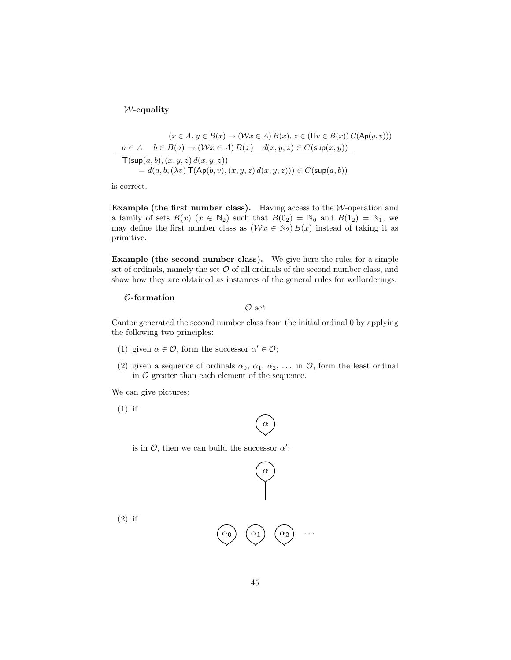### $W$ -equality

$$
(x \in A, y \in B(x) \to (Wx \in A) B(x), z \in (\Pi v \in B(x)) C(\text{Ap}(y, v)))
$$
  
\n
$$
a \in A \quad b \in B(a) \to (Wx \in A) B(x) \quad d(x, y, z) \in C(\text{sup}(x, y))
$$
  
\n
$$
\mathsf{T}(\text{sup}(a, b), (x, y, z) d(x, y, z))
$$
  
\n
$$
= d(a, b, (\lambda v) \mathsf{T}(\text{Ap}(b, v), (x, y, z) d(x, y, z))) \in C(\text{sup}(a, b))
$$

is correct.

**Example (the first number class).** Having access to the  $W$ -operation and a family of sets  $B(x)$   $(x \in \mathbb{N}_2)$  such that  $B(0_2) = \mathbb{N}_0$  and  $B(1_2) = \mathbb{N}_1$ , we may define the first number class as  $(Wx \in \mathbb{N}_2) B(x)$  instead of taking it as primitive.

Example (the second number class). We give here the rules for a simple set of ordinals, namely the set  $\mathcal O$  of all ordinals of the second number class, and show how they are obtained as instances of the general rules for wellorderings.

### O-formation

### $\mathcal O$ set

Cantor generated the second number class from the initial ordinal 0 by applying the following two principles:

- (1) given  $\alpha \in \mathcal{O}$ , form the successor  $\alpha' \in \mathcal{O}$ ;
- (2) given a sequence of ordinals  $\alpha_0, \alpha_1, \alpha_2, \ldots$  in  $\mathcal{O}$ , form the least ordinal in  $\mathcal O$  greater than each element of the sequence.

We can give pictures:

(1) if



is in  $\mathcal{O}$ , then we can build the successor  $\alpha'$ :

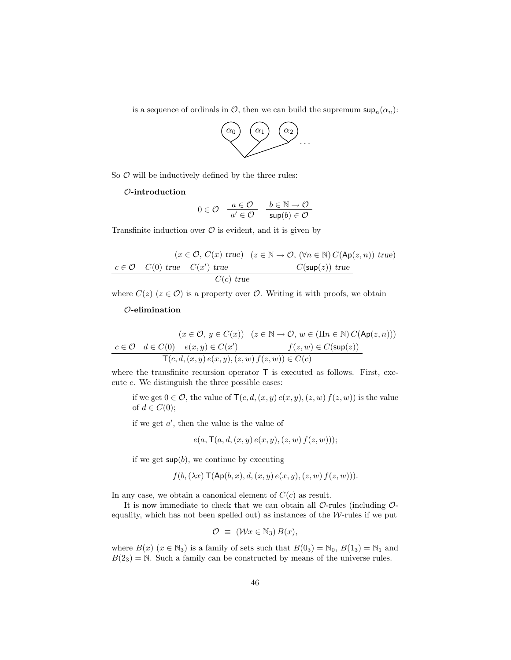is a sequence of ordinals in  $\mathcal{O}$ , then we can build the supremum  $\sup_n(\alpha_n)$ :



So  $\mathcal O$  will be inductively defined by the three rules:

### O-introduction

$$
0 \in \mathcal{O} \quad \frac{a \in \mathcal{O}}{a' \in \mathcal{O}} \quad \frac{b \in \mathbb{N} \to \mathcal{O}}{\sup(b) \in \mathcal{O}}
$$

Transfinite induction over  $\mathcal O$  is evident, and it is given by

$$
(x \in \mathcal{O}, C(x) \text{ true}) \quad (z \in \mathbb{N} \to \mathcal{O}, (\forall n \in \mathbb{N}) C(\mathsf{Ap}(z, n)) \text{ true})
$$
  

$$
c \in \mathcal{O} \quad C(0) \text{ true } C(x') \text{ true } C(\text{sup}(z)) \text{ true}
$$
  

$$
C(c) \text{ true}
$$

where  $C(z)$  ( $z \in \mathcal{O}$ ) is a property over  $\mathcal{O}$ . Writing it with proofs, we obtain

### O-elimination

$$
(x \in \mathcal{O}, y \in C(x)) \quad (z \in \mathbb{N} \to \mathcal{O}, w \in (\Pi n \in \mathbb{N}) C(\text{Ap}(z, n)))
$$

$$
\frac{c \in \mathcal{O} \quad d \in C(0) \quad e(x, y) \in C(x') \quad f(z, w) \in C(\text{sup}(z))}{\text{T}(c, d, (x, y) e(x, y), (z, w) f(z, w)) \in C(c)}
$$

where the transfinite recursion operator  $T$  is executed as follows. First, execute c. We distinguish the three possible cases:

if we get  $0 \in \mathcal{O}$ , the value of  $\mathsf{T}(c, d, (x, y) e(x, y), (z, w) f(z, w))$  is the value of  $d \in C(0)$ ;

if we get  $a'$ , then the value is the value of

$$
e(a, \mathsf{T}(a,d,(x,y) e(x,y), (z,w) f(z,w)))
$$

if we get  $\mathsf{sup}(b)$ , we continue by executing

$$
f(b, (\lambda x) \mathsf{T}(\mathsf{Ap}(b, x), d, (x, y) e(x, y), (z, w) f(z, w))).
$$

In any case, we obtain a canonical element of  $C(c)$  as result.

It is now immediate to check that we can obtain all  $\mathcal{O}\text{-rules}$  (including  $\mathcal{O}\text{-}$ equality, which has not been spelled out) as instances of the  $W$ -rules if we put

$$
\mathcal{O} \equiv (\mathcal{W}x \in \mathbb{N}_3) B(x),
$$

where  $B(x)$   $(x \in \mathbb{N}_3)$  is a family of sets such that  $B(0_3) = \mathbb{N}_0$ ,  $B(1_3) = \mathbb{N}_1$  and  $B(2<sub>3</sub>) = N$ . Such a family can be constructed by means of the universe rules.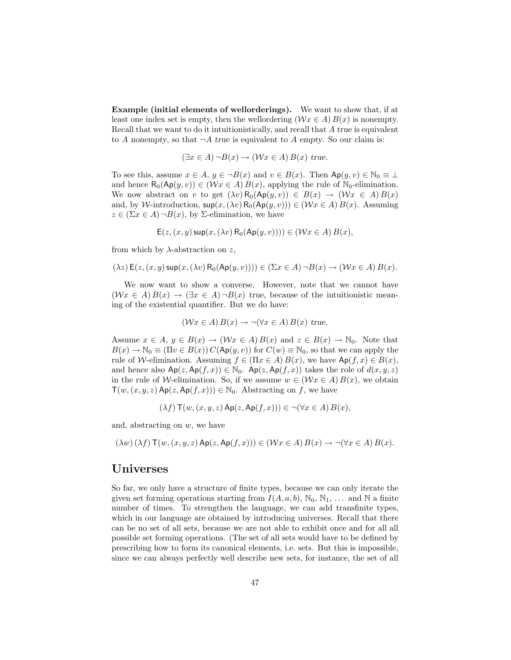Example (initial elements of wellorderings). We want to show that, if at least one index set is empty, then the wellordering ( $\mathcal{W}x \in A$ )  $B(x)$  is nonempty. Recall that we want to do it intuitionistically, and recall that A true is equivalent to A nonempty, so that  $\neg A$  true is equivalent to A empty. So our claim is:

$$
(\exists x \in A) \neg B(x) \rightarrow (\mathcal{W}x \in A) B(x) \text{ true.}
$$

To see this, assume  $x \in A$ ,  $y \in \neg B(x)$  and  $v \in B(x)$ . Then  $Ap(y, v) \in \mathbb{N}_0 \equiv \bot$ and hence  $R_0(Ap(y, v)) \in (Wx \in A) B(x)$ , applying the rule of  $N_0$ -elimination. We now abstract on v to get  $(\lambda v) R_0(\mathsf{Ap}(y, v)) \in B(x) \to (\mathcal{W}x \in A) B(x)$ and, by W-introduction,  $\sup(x,(\lambda v) R_0(Ap(y, v))) \in (Wx \in A) B(x)$ . Assuming  $z \in (\Sigma x \in A) \neg B(x)$ , by  $\Sigma$ -elimination, we have

$$
E(z, (x, y) \sup(x, (\lambda v) R_0(Ap(y, v)))) \in (\mathcal{W}x \in A) B(x),
$$

from which by  $\lambda$ -abstraction on z,

$$
(\lambda z)\mathsf{E}(z,(x,y)\sup(x,(\lambda v)\mathsf{R}_0(\mathsf{Ap}(y,v))))\in (\Sigma x\in A)\neg B(x)\to (\mathcal{W}x\in A)\,B(x).
$$

We now want to show a converse. However, note that we cannot have  $(Wx \in A) B(x) \rightarrow (\exists x \in A) \neg B(x)$  true, because of the intuitionistic meaning of the existential quantifier. But we do have:

$$
(\mathcal{W}x \in A) B(x) \rightarrow \neg(\forall x \in A) B(x)
$$
 true.

Assume  $x \in A$ ,  $y \in B(x) \to (\mathcal{W}x \in A) B(x)$  and  $z \in B(x) \to \mathbb{N}_0$ . Note that  $B(x) \to \mathbb{N}_0 \equiv (\Pi v \in B(x)) C(\mathsf{Ap}(y, v))$  for  $C(w) \equiv \mathbb{N}_0$ , so that we can apply the rule of W-elimination. Assuming  $f \in (\Pi x \in A) B(x)$ , we have  $Ap(f, x) \in B(x)$ , and hence also  $Ap(z, Ap(f, x)) \in \mathbb{N}_0$ .  $Ap(z, Ap(f, x))$  takes the role of  $d(x, y, z)$ in the rule of W-elimination. So, if we assume  $w \in (\mathcal{W}x \in A) B(x)$ , we obtain  $T(w,(x,y,z) \operatorname{Ap}(z,\operatorname{Ap}(f,x))) \in \mathbb{N}_0$ . Abstracting on f, we have

$$
(\lambda f) \mathsf{T}(w,(x,y,z) \mathsf{Ap}(z,\mathsf{Ap}(f,x))) \in \neg (\forall x \in A) B(x),
$$

and, abstracting on  $w$ , we have

$$
(\lambda w)(\lambda f)\mathsf{T}(w,(x,y,z)\mathsf{Ap}(z,\mathsf{Ap}(f,x)))\in (\mathcal{W}x\in A)\,B(x)\to \neg(\forall x\in A)\,B(x).
$$

### Universes

<span id="page-52-0"></span>So far, we only have a structure of finite types, because we can only iterate the given set forming operations starting from  $I(A, a, b)$ ,  $\mathbb{N}_0$ ,  $\mathbb{N}_1$ , ... and  $\mathbb{N}$  a finite number of times. To strengthen the language, we can add transfinite types, which in our language are obtained by introducing universes. Recall that there can be no set of all sets, because we are not able to exhibit once and for all all possible set forming operations. (The set of all sets would have to be defined by prescribing how to form its canonical elements, i.e. sets. But this is impossible, since we can always perfectly well describe new sets, for instance, the set of all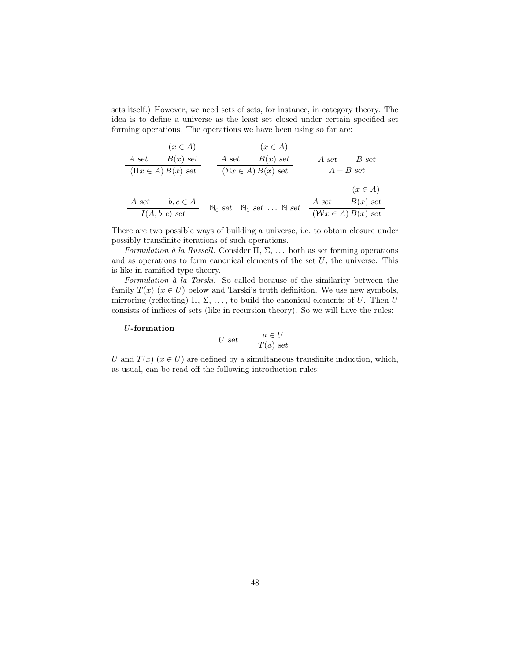sets itself.) However, we need sets of sets, for instance, in category theory. The idea is to define a universe as the least set closed under certain specified set forming operations. The operations we have been using so far are:

$$
(x \in A)
$$
  
\n
$$
\begin{array}{ccc}\n & (x \in A) & (x \in A) \\
\hline\n(\Pi x \in A) B(x) set & & A set & B(x) set & & A set & B set \\
\hline\n & (x \in A) B(x) set & & & A + B set & & \\
& & (x \in A) & & & \\
\hline\nI(A, b, c) set & & & \mathbb{N}_0 set & \mathbb{N}_1 set & \dots \mathbb{N}_s set & & & \\
\hline\n\end{array}
$$

There are two possible ways of building a universe, i.e. to obtain closure under possibly transfinite iterations of such operations.

Formulation à la Russell. Consider  $\Pi, \Sigma, \ldots$  both as set forming operations and as operations to form canonical elements of the set  $U$ , the universe. This is like in ramified type theory.

Formulation à la Tarski. So called because of the similarity between the family  $T(x)$  ( $x \in U$ ) below and Tarski's truth definition. We use new symbols, mirroring (reflecting)  $\Pi$ ,  $\Sigma$ , ..., to build the canonical elements of U. Then U consists of indices of sets (like in recursion theory). So we will have the rules:

#### U-formation

$$
U \text{ set } \qquad \frac{a \in U}{T(a) \text{ set}}
$$

U and  $T(x)$  ( $x \in U$ ) are defined by a simultaneous transfinite induction, which, as usual, can be read off the following introduction rules: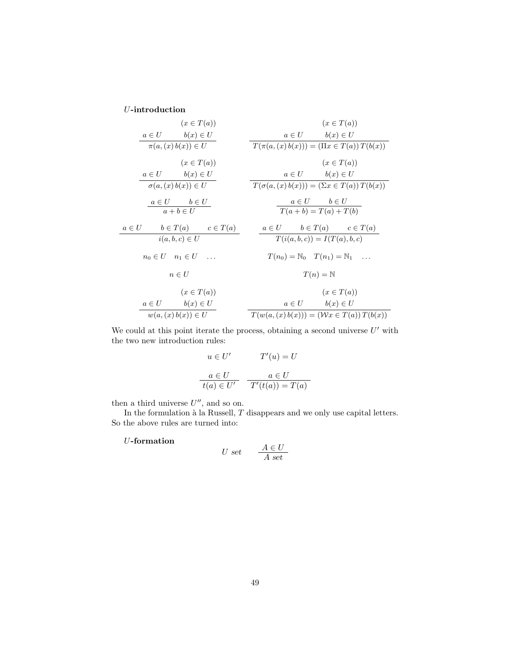$U\mbox{-}\mathrm{introduction}$ 

$$
(x \in T(a)) \qquad (x \in T(a))
$$
  
\n
$$
\frac{a \in U \qquad b(x) \in U}{\pi(a, (x) b(x)) \in U} \qquad \frac{a \in U \qquad b(x) \in U}{T(\pi(a, (x) b(x))) = (\Pi x \in T(a)) T(b(x))}
$$
  
\n
$$
\frac{a \in U \qquad b(x) \in U}{\sigma(a, (x) b(x)) \in U} \qquad \frac{a \in U \qquad b(x) \in U}{T(\sigma(a, (x) b(x))) = (\Sigma x \in T(a)) T(b(x))}
$$
  
\n
$$
\frac{a \in U \qquad b \in U}{a + b \in U} \qquad \frac{a \in U \qquad b \in U}{T(a + b) = T(a) + T(b)}
$$
  
\n
$$
\frac{a \in U \qquad b \in T(a)}{i(a, b, c) \in U} \qquad \frac{a \in U \qquad b \in T(a)}{T(i(a, b, c)) = I(T(a), b, c)}
$$
  
\n
$$
n_0 \in U \qquad n_1 \in U \qquad \qquad \qquad \frac{a \in U \qquad b \in T(a) \qquad c \in T(a)}{T(i(a, b, c)) = I(T(a), b, c)}
$$
  
\n
$$
n \in U \qquad \qquad \qquad \frac{a \in U \qquad b \in T(a) \qquad c \in T(a)}
$$
  
\n
$$
(x \in T(a)) \qquad \qquad \qquad \frac{a \in U \qquad T(b(x))}{T(b(x)) = N_0} \qquad \qquad \frac{a \in U \qquad b(x) \in U}{w(a, (x) b(x)) \in U} \qquad \qquad \frac{a \in U \qquad b(x) \in U}{T(w(a, (x) b(x))) = (Wx \in T(a)) T(b(x))}
$$

We could at this point iterate the process, obtaining a second universe  $U'$  with the two new introduction rules:

$$
u \in U'
$$

$$
T'(u) = U
$$

$$
\frac{a \in U}{t(a) \in U'} \quad \frac{a \in U}{T'(t(a)) = T(a)}
$$

then a third universe  $U''$ , and so on.

In the formulation à la Russell,  $T$  disappears and we only use capital letters. So the above rules are turned into:

 $U\mbox{-}\mathrm{formation}$ 

$$
U \text{ set } \frac{A \in U}{A \text{ set}}
$$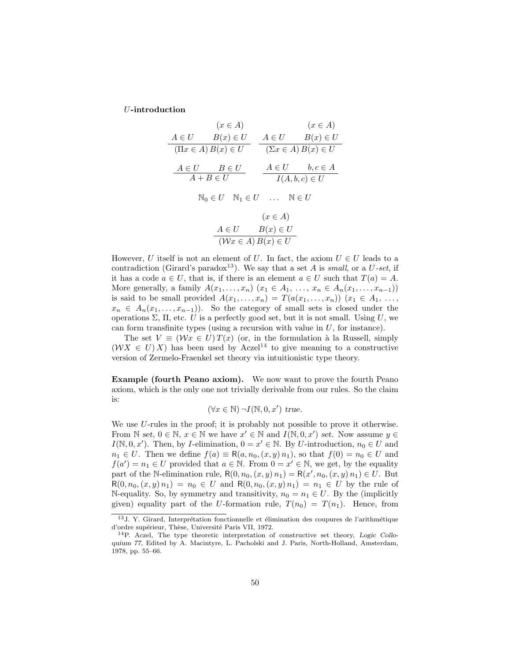U-introduction

$$
(x \in A) \qquad (x \in A)
$$
  
\n
$$
A \in U \qquad B(x) \in U \qquad A \in U \qquad B(x) \in U
$$
  
\n
$$
\overline{(Ix \in A) B(x) \in U} \qquad \overline{(Ex \in A) B(x) \in U}
$$
  
\n
$$
\underline{A \in U} \qquad \underline{B \in U} \qquad \underline{A \in U} \qquad b, c \in A
$$
  
\n
$$
\overline{A + B \in U} \qquad \overline{I(A, b, c) \in U}
$$
  
\n
$$
\overline{N_0 \in U} \qquad N_1 \in U \qquad \dots \qquad N \in U
$$
  
\n
$$
(x \in A)
$$
  
\n
$$
\underline{A \in U} \qquad B(x) \in U
$$
  
\n
$$
(\overline{\mathcal{W}x \in A}) B(x) \in U
$$

However, U itself is not an element of U. In fact, the axiom  $U \in U$  leads to a contradiction (Girard's paradox<sup>[13](#page-55-0)</sup>). We say that a set A is small, or a U-set, if it has a code  $a \in U$ , that is, if there is an element  $a \in U$  such that  $T(a) = A$ . More generally, a family  $A(x_1, \ldots, x_n)$   $(x_1 \in A_1, \ldots, x_n \in A_n(x_1, \ldots, x_{n-1}))$ is said to be small provided  $A(x_1, \ldots, x_n) = T(a(x_1, \ldots, x_n))$   $(x_1 \in A_1, \ldots,$  $x_n \in A_n(x_1, \ldots, x_{n-1})$ . So the category of small sets is closed under the operations  $\Sigma$ ,  $\Pi$ , etc. U is a perfectly good set, but it is not small. Using U, we can form transfinite types (using a recursion with value in  $U$ , for instance).

The set  $V \equiv (Wx \in U) T(x)$  (or, in the formulation à la Russell, simply  $(\mathcal{W}X \in U)X$  has been used by Aczel<sup>[14](#page-55-1)</sup> to give meaning to a constructive version of Zermelo-Fraenkel set theory via intuitionistic type theory.

Example (fourth Peano axiom). We now want to prove the fourth Peano axiom, which is the only one not trivially derivable from our rules. So the claim is:

$$
(\forall x \in \mathbb{N}) \neg I(\mathbb{N}, 0, x') \text{ true.}
$$

We use U-rules in the proof; it is probably not possible to prove it otherwise. From N set,  $0 \in \mathbb{N}$ ,  $x \in \mathbb{N}$  we have  $x' \in \mathbb{N}$  and  $I(\mathbb{N}, 0, x')$  set. Now assume  $y \in \mathbb{N}$  $I(\mathbb{N},0,x')$ . Then, by *I*-elimination,  $0 = x' \in \mathbb{N}$ . By *U*-introduction,  $n_0 \in U$  and  $n_1 \in U$ . Then we define  $f(a) \equiv R(a, n_0, (x, y) n_1)$ , so that  $f(0) = n_0 \in U$  and  $f(a') = n_1 \in U$  provided that  $a \in \mathbb{N}$ . From  $0 = x' \in \mathbb{N}$ , we get, by the equality part of the N-elimination rule,  $R(0, n_0, (x, y) n_1) = R(x', n_0, (x, y) n_1) \in U$ . But  $R(0, n_0, (x, y) n_1) = n_0 \in U$  and  $R(0, n_0, (x, y) n_1) = n_1 \in U$  by the rule of N-equality. So, by symmetry and transitivity,  $n_0 = n_1 \in U$ . By the (implicitly given) equality part of the U-formation rule,  $T(n_0) = T(n_1)$ . Hence, from

<span id="page-55-0"></span> $13J. Y.$  Girard, Interprétation fonctionnelle et élimination des coupures de l'arithmétique d'ordre supérieur, Thèse, Université Paris VII, 1972.

<span id="page-55-1"></span><sup>14</sup>P. Aczel, The type theoretic interpretation of constructive set theory, Logic Colloquium 77, Edited by A. Macintyre, L. Pacholski and J. Paris, North-Holland, Amsterdam, 1978, pp. 55–66.